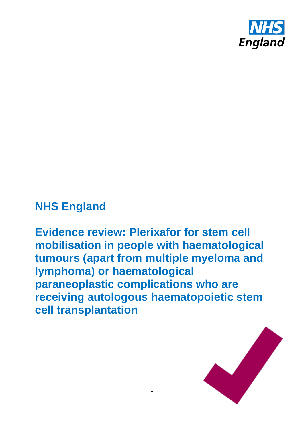

## **NHS England**

**Evidence review: Plerixafor for stem cell mobilisation in people with haematological tumours (apart from multiple myeloma and lymphoma) or haematological paraneoplastic complications who are receiving autologous haematopoietic stem cell transplantation**

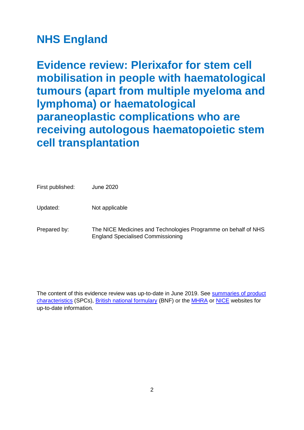# **NHS England**

**Evidence review: Plerixafor for stem cell mobilisation in people with haematological tumours (apart from multiple myeloma and lymphoma) or haematological paraneoplastic complications who are receiving autologous haematopoietic stem cell transplantation**

| First published: | <b>June 2020</b>                                                                                           |
|------------------|------------------------------------------------------------------------------------------------------------|
| Updated:         | Not applicable                                                                                             |
| Prepared by:     | The NICE Medicines and Technologies Programme on behalf of NHS<br><b>England Specialised Commissioning</b> |

The content of this evidence review was up-to-date in June 2019. See [summaries of product](http://www.medicines.org.uk/)  [characteristics](http://www.medicines.org.uk/) (SPCs), [British national formulary](https://www.evidence.nhs.uk/formulary/bnf/current) (BNF) or the [MHRA](https://www.gov.uk/government/organisations/medicines-and-healthcare-products-regulatory-agency) or [NICE](http://www.nice.org.uk/) websites for up-to-date information.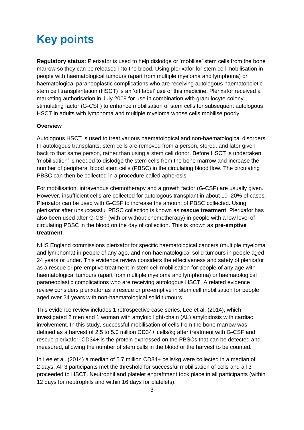# **Key points**

**Regulatory status:** Plerixafor is used to help dislodge or 'mobilise' stem cells from the bone marrow so they can be released into the blood. Using plerixafor for stem cell mobilisation in people with haematological tumours (apart from multiple myeloma and lymphoma) or haematological paraneoplastic complications who are receiving autologous haematopoietic stem cell transplantation (HSCT) is an 'off label' use of this medicine. Plerixafor received a marketing authorisation in July 2009 for use in combination with granulocyte-colony stimulating factor (G-CSF) to enhance mobilisation of stem cells for subsequent autologous HSCT in adults with lymphoma and multiple myeloma whose cells mobilise poorly.

### **Overview**

Autologous HSCT is used to treat various haematological and non-haematological disorders. In autologous transplants, stem cells are removed from a person, stored, and later given back to that same person, rather than using a stem cell donor. Before HSCT is undertaken, 'mobilisation' is needed to dislodge the stem cells from the bone marrow and increase the number of peripheral blood stem cells (PBSC) in the circulating blood flow. The circulating PBSC can then be collected in a procedure called apheresis.

For mobilisation, intravenous chemotherapy and a growth factor (G-CSF) are usually given. However, insufficient cells are collected for autologous transplant in about 10–20% of cases. Plerixafor can be used with G-CSF to increase the amount of PBSC collected. Using plerixafor after unsuccessful PBSC collection is known as **rescue treatment**. Plerixafor has also been used after G-CSF (with or without chemotherapy) in people with a low level of circulating PBSC in the blood on the day of collection. This is known as **pre-emptive treatment**.

NHS England commissions plerixafor for specific haematological cancers (multiple myeloma and lymphoma) in people of any age, and non-haematological solid tumours in people aged 24 years or under. This evidence review considers the effectiveness and safety of plerixafor as a rescue or pre-emptive treatment in stem cell mobilisation for people of any age with haematological tumours (apart from multiple myeloma and lymphoma) or haematological paraneoplastic complications who are receiving autologous HSCT. A related evidence review considers plerixafor as a rescue or pre-emptive in stem cell mobilisation for people aged over 24 years with non-haematological solid tumours.

This evidence review includes 1 retrospective case series, Lee et al. (2014), which investigated 2 men and 1 woman with amyloid light-chain (AL) amyloidosis with cardiac involvement. In this study, successful mobilisation of cells from the bone marrow was defined as a harvest of 2.5 to 5.0 million CD34+ cells/kg after treatment with G-CSF and rescue plerixafor. CD34+ is the protein expressed on the PBSCs that can be detected and measured, allowing the number of stem cells in the blood or the harvest to be counted.

In Lee et al. (2014) a median of 5.7 million CD34+ cells/kg were collected in a median of 2 days. All 3 participants met the threshold for successful mobilisation of cells and all 3 proceeded to HSCT. Neutrophil and platelet engraftment took place in all participants (within 12 days for neutrophils and within 16 days for platelets).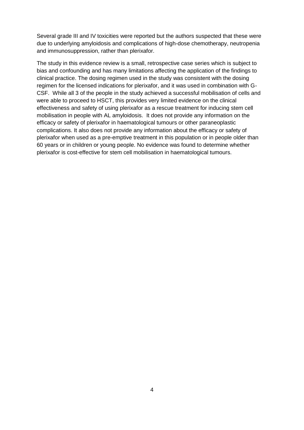Several grade III and IV toxicities were reported but the authors suspected that these were due to underlying amyloidosis and complications of high-dose chemotherapy, neutropenia and immunosuppression, rather than plerixafor.

The study in this evidence review is a small, retrospective case series which is subject to bias and confounding and has many limitations affecting the application of the findings to clinical practice. The dosing regimen used in the study was consistent with the dosing regimen for the licensed indications for plerixafor, and it was used in combination with G-CSF. While all 3 of the people in the study achieved a successful mobilisation of cells and were able to proceed to HSCT, this provides very limited evidence on the clinical effectiveness and safety of using plerixafor as a rescue treatment for inducing stem cell mobilisation in people with AL amyloidosis. It does not provide any information on the efficacy or safety of plerixafor in haematological tumours or other paraneoplastic complications. It also does not provide any information about the efficacy or safety of plerixafor when used as a pre-emptive treatment in this population or in people older than 60 years or in children or young people. No evidence was found to determine whether plerixafor is cost-effective for stem cell mobilisation in haematological tumours.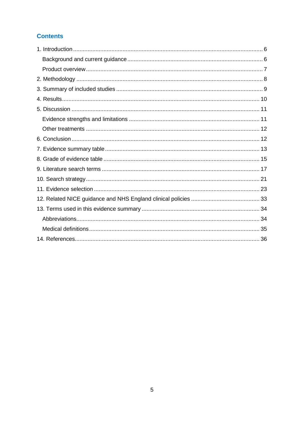## **Contents**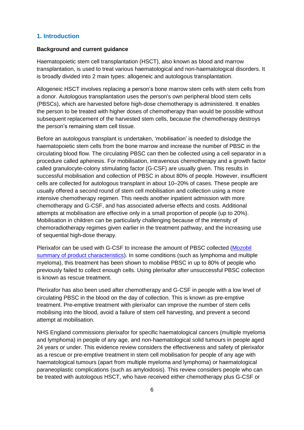## <span id="page-5-0"></span>**1. Introduction**

#### <span id="page-5-1"></span>**Background and current guidance**

Haematopoietic stem cell transplantation (HSCT), also known as blood and marrow transplantation, is used to treat various haematological and non-haematological disorders. It is broadly divided into 2 main types: allogeneic and autologous transplantation.

Allogeneic HSCT involves replacing a person's bone marrow stem cells with stem cells from a donor. Autologous transplantation uses the person's own peripheral blood stem cells (PBSCs), which are harvested before high-dose chemotherapy is administered. It enables the person to be treated with higher doses of chemotherapy than would be possible without subsequent replacement of the harvested stem cells, because the chemotherapy destroys the person's remaining stem cell tissue.

Before an autologous transplant is undertaken, 'mobilisation' is needed to dislodge the haematopoietic stem cells from the bone marrow and increase the number of PBSC in the circulating blood flow. The circulating PBSC can then be collected using a cell separator in a procedure called apheresis. For mobilisation, intravenous chemotherapy and a growth factor called granulocyte-colony stimulating factor (G-CSF) are usually given. This results in successful mobilisation and collection of PBSC in about 80% of people. However, insufficient cells are collected for autologous transplant in about 10–20% of cases. These people are usually offered a second round of stem cell mobilisation and collection using a more intensive chemotherapy regimen. This needs another inpatient admission with more chemotherapy and G-CSF, and has associated adverse effects and costs. Additional attempts at mobilisation are effective only in a small proportion of people (up to 20%). Mobilisation in children can be particularly challenging because of the intensity of chemoradiotherapy regimes given earlier in the treatment pathway, and the increasing use of sequential high-dose therapy.

Plerixafor can be used with G-CSF to increase the amount of PBSC collected [\(Mozobil](https://www.medicines.org.uk/emc/product/790/smpc)  [summary of product characteristics\)](https://www.medicines.org.uk/emc/product/790/smpc). In some conditions (such as lymphoma and multiple myeloma), this treatment has been shown to mobilise PBSC in up to 80% of people who previously failed to collect enough cells. Using plerixafor after unsuccessful PBSC collection is known as rescue treatment.

Plerixafor has also been used after chemotherapy and G-CSF in people with a low level of circulating PBSC in the blood on the day of collection. This is known as pre-emptive treatment. Pre-emptive treatment with plerixafor can improve the number of stem cells mobilising into the blood, avoid a failure of stem cell harvesting, and prevent a second attempt at mobilisation.

NHS England commissions plerixafor for specific haematological cancers (multiple myeloma and lymphoma) in people of any age, and non-haematological solid tumours in people aged 24 years or under. This evidence review considers the effectiveness and safety of plerixafor as a rescue or pre-emptive treatment in stem cell mobilisation for people of any age with haematological tumours (apart from multiple myeloma and lymphoma) or haematological paraneoplastic complications (such as amyloidosis). This review considers people who can be treated with autologous HSCT, who have received either chemotherapy plus G-CSF or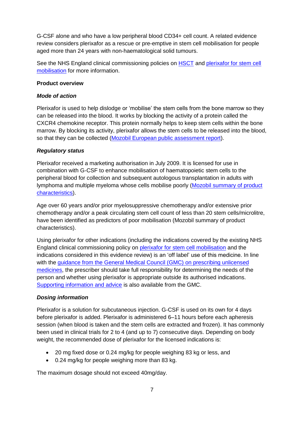G-CSF alone and who have a low peripheral blood CD34+ cell count. A related evidence review considers plerixafor as a rescue or pre-emptive in stem cell mobilisation for people aged more than 24 years with non-haematological solid tumours.

See the NHS England clinical commissioning policies on [HSCT](https://www.england.nhs.uk/wp-content/uploads/2018/07/Haematopoietic-stem-cell-transplantation-All-Ages.pdf) and plerixafor for stem cell [mobilisation](https://www.england.nhs.uk/wp-content/uploads/2018/07/Plerixafor-for-paediatric-stem-cell-mobilisation.pdf) for more information.

#### <span id="page-6-0"></span>**Product overview**

### *Mode of action*

Plerixafor is used to help dislodge or 'mobilise' the stem cells from the bone marrow so they can be released into the blood. It works by blocking the activity of a protein called the CXCR4 chemokine receptor. This protein normally helps to keep stem cells within the bone marrow. By blocking its activity, plerixafor allows the stem cells to be released into the blood, so that they can be collected [\(Mozobil European public assessment report\)](https://www.ema.europa.eu/en/medicines/human/EPAR/mozobil).

## *Regulatory status*

Plerixafor received a marketing authorisation in July 2009. It is licensed for use in combination with G-CSF to enhance mobilisation of haematopoietic stem cells to the peripheral blood for collection and subsequent autologous transplantation in adults with lymphoma and multiple myeloma whose cells mobilise poorly [\(Mozobil summary of product](https://www.medicines.org.uk/emc/product/790/smpc)  [characteristics\)](https://www.medicines.org.uk/emc/product/790/smpc).

Age over 60 years and/or prior myelosuppressive chemotherapy and/or extensive prior chemotherapy and/or a peak circulating stem cell count of less than 20 stem cells/microlitre, have been identified as predictors of poor mobilisation (Mozobil summary of product characteristics).

Using plerixafor for other indications (including the indications covered by the existing NHS England clinical commissioning policy on [plerixafor for stem cell mobilisation](https://www.england.nhs.uk/wp-content/uploads/2018/07/Plerixafor-for-paediatric-stem-cell-mobilisation.pdf) and the indications considered in this evidence review) is an 'off label' use of this medicine. In line with the [guidance from the General Medical Council \(GMC\) on prescribing unlicensed](http://www.gmc-uk.org/guidance/ethical_guidance/14327.asp)  [medicines,](http://www.gmc-uk.org/guidance/ethical_guidance/14327.asp) the prescriber should take full responsibility for determining the needs of the person and whether using plerixafor is appropriate outside its authorised indications. [Supporting information and advice](http://www.gmc-uk.org/guidance/28349.asp) is also available from the GMC.

## *Dosing information*

Plerixafor is a solution for subcutaneous injection. G-CSF is used on its own for 4 days before plerixafor is added. Plerixafor is administered 6–11 hours before each apheresis session (when blood is taken and the stem cells are extracted and frozen). It has commonly been used in clinical trials for 2 to 4 (and up to 7) consecutive days. Depending on body weight, the recommended dose of plerixafor for the licensed indications is:

- 20 mg fixed dose or 0.24 mg/kg for people weighing 83 kg or less, and
- 0.24 mg/kg for people weighing more than 83 kg.

The maximum dosage should not exceed 40mg/day.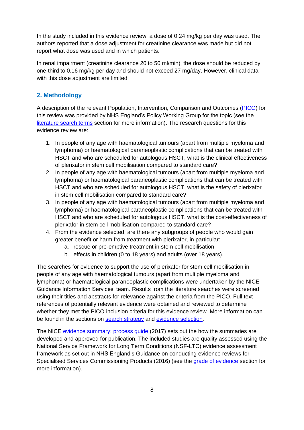In the study included in this evidence review, a dose of 0.24 mg/kg per day was used. The authors reported that a dose adjustment for creatinine clearance was made but did not report what dose was used and in which patients.

In renal impairment (creatinine clearance 20 to 50 ml/min), the dose should be reduced by one-third to 0.16 mg/kg per day and should not exceed 27 mg/day. However, clinical data with this dose adjustment are limited.

## <span id="page-7-0"></span>**2. Methodology**

A description of the relevant Population, Intervention, Comparison and Outcomes [\(PICO\)](https://www.nice.org.uk/Glossary?letter=P) for this review was provided by NHS England's Policy Working Group for the topic (see the literature search terms section for more information). The research questions for this evidence review are:

- 1. In people of any age with haematological tumours (apart from multiple myeloma and lymphoma) or haematological paraneoplastic complications that can be treated with HSCT and who are scheduled for autologous HSCT, what is the clinical effectiveness of plerixafor in stem cell mobilisation compared to standard care?
- 2. In people of any age with haematological tumours (apart from multiple myeloma and lymphoma) or haematological paraneoplastic complications that can be treated with HSCT and who are scheduled for autologous HSCT, what is the safety of plerixafor in stem cell mobilisation compared to standard care?
- 3. In people of any age with haematological tumours (apart from multiple myeloma and lymphoma) or haematological paraneoplastic complications that can be treated with HSCT and who are scheduled for autologous HSCT, what is the cost-effectiveness of plerixafor in stem cell mobilisation compared to standard care?
- 4. From the evidence selected, are there any subgroups of people who would gain greater benefit or harm from treatment with plerixafor, in particular:
	- a. rescue or pre-emptive treatment in stem cell mobilisation
	- b. effects in children (0 to 18 years) and adults (over 18 years).

The searches for evidence to support the use of plerixafor for stem cell mobilisation in people of any age with haematological tumours (apart from multiple myeloma and lymphoma) or haematological paraneoplastic complications were undertaken by the NICE Guidance Information Services' team. Results from the literature searches were screened using their titles and abstracts for relevance against the criteria from the PICO. Full text references of potentially relevant evidence were obtained and reviewed to determine whether they met the PICO inclusion criteria for this evidence review. More information can be found in the sections on [search strategy](#page-20-0) and [evidence selection.](#page-22-0)

The NICE [evidence summary: process guide](https://www.nice.org.uk/process/pmg31/chapter/introduction) (2017) sets out the how the summaries are developed and approved for publication. The included studies are quality assessed using the National Service Framework for Long Term Conditions (NSF-LTC) evidence assessment framework as set out in NHS England's Guidance on conducting evidence reviews for Specialised Services Commissioning Products (2016) (see the grade of evidence section for more information).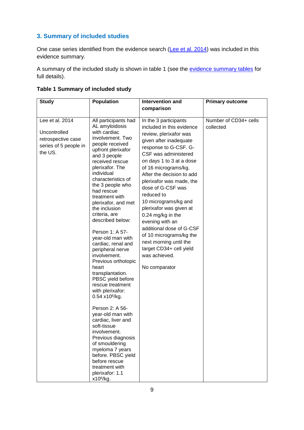## <span id="page-8-0"></span>**3. Summary of included studies**

One case series identified from the evidence search [\(Lee et al. 2014\)](https://www.tandfonline.com/doi/full/10.3109/13506129.2014.900486?scroll=top&needAccess=true) was included in this evidence summary.

A summary of the included study is shown in table 1 (see the [evidence summary tables](#page-12-0) for full details).

| Table 1 Summary of included study |  |  |
|-----------------------------------|--|--|
|-----------------------------------|--|--|

| <b>Study</b>                                                                              | Population                                                                                                                                                                                                                                                                                                                                                                                                                                                                                                                                                                                                                                                                                                                                                                                                                                       | Intervention and                                                                                                                                                                                                                                                                                                                                                                                                                                                                                                                                 | <b>Primary outcome</b>             |
|-------------------------------------------------------------------------------------------|--------------------------------------------------------------------------------------------------------------------------------------------------------------------------------------------------------------------------------------------------------------------------------------------------------------------------------------------------------------------------------------------------------------------------------------------------------------------------------------------------------------------------------------------------------------------------------------------------------------------------------------------------------------------------------------------------------------------------------------------------------------------------------------------------------------------------------------------------|--------------------------------------------------------------------------------------------------------------------------------------------------------------------------------------------------------------------------------------------------------------------------------------------------------------------------------------------------------------------------------------------------------------------------------------------------------------------------------------------------------------------------------------------------|------------------------------------|
|                                                                                           |                                                                                                                                                                                                                                                                                                                                                                                                                                                                                                                                                                                                                                                                                                                                                                                                                                                  | comparison                                                                                                                                                                                                                                                                                                                                                                                                                                                                                                                                       |                                    |
| Lee et al. 2014<br>Uncontrolled<br>retrospective case<br>series of 5 people in<br>the US. | All participants had<br>AL amyloidosis<br>with cardiac<br>involvement. Two<br>people received<br>upfront plerixafor<br>and 3 people<br>received rescue<br>plerixafor. The<br>individual<br>characteristics of<br>the 3 people who<br>had rescue<br>treatment with<br>plerixafor, and met<br>the inclusion<br>criteria, are<br>described below:<br>Person 1: A 57-<br>year-old man with<br>cardiac, renal and<br>peripheral nerve<br>involvement.<br>Previous orthotopic<br>heart<br>transplantation.<br>PBSC yield before<br>rescue treatment<br>with plerixafor:<br>$0.54 \times 10^6$ /kg.<br>Person 2: A 56-<br>year-old man with<br>cardiac, liver and<br>soft-tissue<br>involvement.<br>Previous diagnosis<br>of smouldering<br>myeloma 7 years<br>before. PBSC yield<br>before rescue<br>treatment with<br>plerixafor: 1.1<br>$x10^6$ /kg. | In the 3 participants<br>included in this evidence<br>review, plerixafor was<br>given after inadequate<br>response to G-CSF. G-<br>CSF was administered<br>on days 1 to 3 at a dose<br>of 16 micrograms/kg.<br>After the decision to add<br>plerixafor was made, the<br>dose of G-CSF was<br>reduced to<br>10 micrograms/kg and<br>plerixafor was given at<br>0.24 mg/kg in the<br>evening with an<br>additional dose of G-CSF<br>of 10 micrograms/kg the<br>next morning until the<br>target CD34+ cell yield<br>was achieved.<br>No comparator | Number of CD34+ cells<br>collected |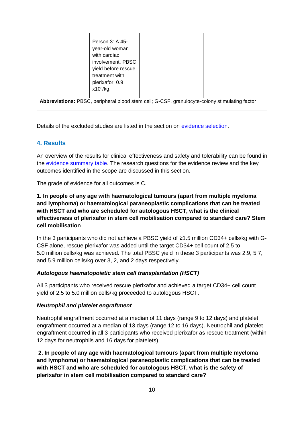|                                                                                               | Person 3: A 45-<br>year-old woman<br>with cardiac<br>involvement. PBSC<br>yield before rescue<br>treatment with<br>plerixafor: 0.9<br>$x10^6$ /kg. |  |  |  |  |
|-----------------------------------------------------------------------------------------------|----------------------------------------------------------------------------------------------------------------------------------------------------|--|--|--|--|
| Abbreviations: PBSC, peripheral blood stem cell; G-CSF, granulocyte-colony stimulating factor |                                                                                                                                                    |  |  |  |  |

Details of the excluded studies are listed in the section on [evidence selection.](#page-22-0)

## <span id="page-9-0"></span>**4. Results**

An overview of the results for clinical effectiveness and safety and tolerability can be found in the [evidence summary](#page-12-0) table. The research questions for the evidence review and the key outcomes identified in the scope are discussed in this section.

The grade of evidence for all outcomes is C.

## **1. In people of any age with haematological tumours (apart from multiple myeloma and lymphoma) or haematological paraneoplastic complications that can be treated with HSCT and who are scheduled for autologous HSCT, what is the clinical effectiveness of plerixafor in stem cell mobilisation compared to standard care? Stem cell mobilisation**

In the 3 participants who did not achieve a PBSC yield of ≥1.5 million CD34+ cells/kg with G-CSF alone, rescue plerixafor was added until the target CD34+ cell count of 2.5 to 5.0 million cells/kg was achieved. The total PBSC yield in these 3 participants was 2.9, 5.7, and 5.9 million cells/kg over 3, 2, and 2 days respectively.

## *Autologous haematopoietic stem cell transplantation (HSCT)*

All 3 participants who received rescue plerixafor and achieved a target CD34+ cell count yield of 2.5 to 5.0 million cells/kg proceeded to autologous HSCT.

#### *Neutrophil and platelet engraftment*

Neutrophil engraftment occurred at a median of 11 days (range 9 to 12 days) and platelet engraftment occurred at a median of 13 days (range 12 to 16 days). Neutrophil and platelet engraftment occurred in all 3 participants who received plerixafor as rescue treatment (within 12 days for neutrophils and 16 days for platelets).

**2. In people of any age with haematological tumours (apart from multiple myeloma and lymphoma) or haematological paraneoplastic complications that can be treated with HSCT and who are scheduled for autologous HSCT, what is the safety of plerixafor in stem cell mobilisation compared to standard care?**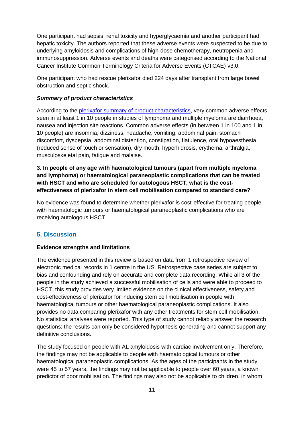One participant had sepsis, renal toxicity and hyperglycaemia and another participant had hepatic toxicity. The authors reported that these adverse events were suspected to be due to underlying amyloidosis and complications of high-dose chemotherapy, neutropenia and immunosuppression. Adverse events and deaths were categorised according to the National Cancer Institute Common Terminology Criteria for Adverse Events (CTCAE) v3.0.

One participant who had rescue plerixafor died 224 days after transplant from large bowel obstruction and septic shock.

#### *Summary of product characteristics*

According to the [plerixafor summary of product characteristics,](https://www.medicines.org.uk/emc/product/790/smpc) very common adverse effects seen in at least 1 in 10 people in studies of lymphoma and multiple myeloma are diarrhoea, nausea and injection site reactions. Common adverse effects (in between 1 in 100 and 1 in 10 people) are insomnia, dizziness, headache, vomiting, abdominal pain, stomach discomfort, dyspepsia, abdominal distention, constipation, flatulence, oral hypoaesthesia (reduced sense of touch or sensation), dry mouth, hyperhidrosis, erythema, arthralgia, musculoskeletal pain, fatigue and malaise.

## **3. In people of any age with haematological tumours (apart from multiple myeloma and lymphoma) or haematological paraneoplastic complications that can be treated with HSCT and who are scheduled for autologous HSCT, what is the costeffectiveness of plerixafor in stem cell mobilisation compared to standard care?**

No evidence was found to determine whether plerixafor is cost-effective for treating people with haematologic tumours or haematological paraneoplastic complications who are receiving autologous HSCT.

## <span id="page-10-0"></span>**5. Discussion**

#### <span id="page-10-1"></span>**Evidence strengths and limitations**

The evidence presented in this review is based on data from 1 retrospective review of electronic medical records in 1 centre in the US. Retrospective case series are subject to bias and confounding and rely on accurate and complete data recording. While all 3 of the people in the study achieved a successful mobilisation of cells and were able to proceed to HSCT, this study provides very limited evidence on the clinical effectiveness, safety and cost-effectiveness of plerixafor for inducing stem cell mobilisation in people with haematological tumours or other haematological paraneoplastic complications. It also provides no data comparing plerixafor with any other treatments for stem cell mobilisation. No statistical analyses were reported. This type of study cannot reliably answer the research questions: the results can only be considered hypothesis generating and cannot support any definitive conclusions.

The study focused on people with AL amyloidosis with cardiac involvement only. Therefore, the findings may not be applicable to people with haematological tumours or other haematological paraneoplastic complications. As the ages of the participants in the study were 45 to 57 years, the findings may not be applicable to people over 60 years, a known predictor of poor mobilisation. The findings may also not be applicable to children, in whom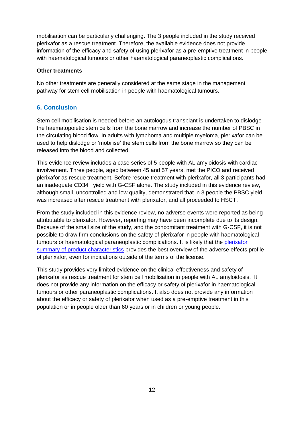mobilisation can be particularly challenging. The 3 people included in the study received plerixafor as a rescue treatment. Therefore, the available evidence does not provide information of the efficacy and safety of using plerixafor as a pre-emptive treatment in people with haematological tumours or other haematological paraneoplastic complications.

#### <span id="page-11-0"></span>**Other treatments**

No other treatments are generally considered at the same stage in the management pathway for stem cell mobilisation in people with haematological tumours.

## <span id="page-11-1"></span>**6. Conclusion**

Stem cell mobilisation is needed before an autologous transplant is undertaken to dislodge the haematopoietic stem cells from the bone marrow and increase the number of PBSC in the circulating blood flow. In adults with lymphoma and multiple myeloma, plerixafor can be used to help dislodge or 'mobilise' the stem cells from the bone marrow so they can be released into the blood and collected.

This evidence review includes a case series of 5 people with AL amyloidosis with cardiac involvement. Three people, aged between 45 and 57 years, met the PICO and received plerixafor as rescue treatment. Before rescue treatment with plerixafor, all 3 participants had an inadequate CD34+ yield with G-CSF alone. The study included in this evidence review, although small, uncontrolled and low quality, demonstrated that in 3 people the PBSC yield was increased after rescue treatment with plerixafor, and all proceeded to HSCT.

From the study included in this evidence review, no adverse events were reported as being attributable to plerixafor. However, reporting may have been incomplete due to its design. Because of the small size of the study, and the concomitant treatment with G-CSF, it is not possible to draw firm conclusions on the safety of plerixafor in people with haematological tumours or haematological paraneoplastic complications. It is likely that the plerixafor [summary of product characteristics](https://www.medicines.org.uk/emc/product/790) provides the best overview of the adverse effects profile of plerixafor, even for indications outside of the terms of the license.

This study provides very limited evidence on the clinical effectiveness and safety of plerixafor as rescue treatment for stem cell mobilisation in people with AL amyloidosis. It does not provide any information on the efficacy or safety of plerixafor in haematological tumours or other paraneoplastic complications. It also does not provide any information about the efficacy or safety of plerixafor when used as a pre-emptive treatment in this population or in people older than 60 years or in children or young people.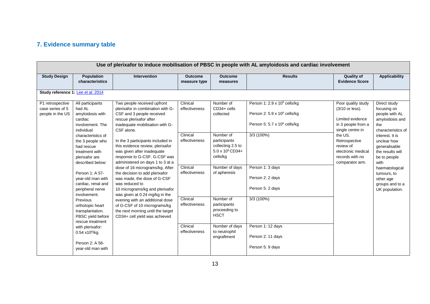## **7. Evidence summary table**

<span id="page-12-0"></span>

| Use of plerixafor to induce mobilisation of PBSC in people with AL amyloidosis and cardiac involvement |                                                                                                                                                                                                                                                                                                                                                                                                                                                                                                   |                                                                                                                                                                                                                                                                                                                                                                                                                                                                                                                                                                                                                                                                                          |                                                                                                                                               |                                                                                                                                                                                                                                                                                   |                                                                                                                                                                                                                                                                                      |                                                                                                                                                                                                          |                                                                                                                                                                                                                                                                                 |  |  |
|--------------------------------------------------------------------------------------------------------|---------------------------------------------------------------------------------------------------------------------------------------------------------------------------------------------------------------------------------------------------------------------------------------------------------------------------------------------------------------------------------------------------------------------------------------------------------------------------------------------------|------------------------------------------------------------------------------------------------------------------------------------------------------------------------------------------------------------------------------------------------------------------------------------------------------------------------------------------------------------------------------------------------------------------------------------------------------------------------------------------------------------------------------------------------------------------------------------------------------------------------------------------------------------------------------------------|-----------------------------------------------------------------------------------------------------------------------------------------------|-----------------------------------------------------------------------------------------------------------------------------------------------------------------------------------------------------------------------------------------------------------------------------------|--------------------------------------------------------------------------------------------------------------------------------------------------------------------------------------------------------------------------------------------------------------------------------------|----------------------------------------------------------------------------------------------------------------------------------------------------------------------------------------------------------|---------------------------------------------------------------------------------------------------------------------------------------------------------------------------------------------------------------------------------------------------------------------------------|--|--|
| <b>Study Design</b>                                                                                    | Population<br>characteristics                                                                                                                                                                                                                                                                                                                                                                                                                                                                     | <b>Intervention</b>                                                                                                                                                                                                                                                                                                                                                                                                                                                                                                                                                                                                                                                                      | <b>Outcome</b><br>measure type                                                                                                                | <b>Outcome</b><br>measures                                                                                                                                                                                                                                                        | <b>Results</b>                                                                                                                                                                                                                                                                       | <b>Quality of</b><br><b>Evidence Score</b>                                                                                                                                                               | <b>Applicability</b>                                                                                                                                                                                                                                                            |  |  |
| Study reference 1. Lee et al. 2014                                                                     |                                                                                                                                                                                                                                                                                                                                                                                                                                                                                                   |                                                                                                                                                                                                                                                                                                                                                                                                                                                                                                                                                                                                                                                                                          |                                                                                                                                               |                                                                                                                                                                                                                                                                                   |                                                                                                                                                                                                                                                                                      |                                                                                                                                                                                                          |                                                                                                                                                                                                                                                                                 |  |  |
| P1 retrospective<br>case series of 5<br>people in the US                                               | All participants<br>had AL<br>amyloidosis with<br>cardiac<br>involvement. The<br>individual<br>characteristics of<br>the 3 people who<br>had rescue<br>treatment with<br>plerixafor are<br>described below:<br>Person 1: A 57-<br>year-old man with<br>cardiac, renal and<br>peripheral nerve<br>involvement.<br>Previous<br>orthotopic heart<br>transplantation.<br>PBSC yield before<br>rescue treatment<br>with plerixafor:<br>$0.54 \times 10^6$ /kg.<br>Person 2: A 56-<br>year-old man with | Two people received upfront<br>plerixafor in combination with G-<br>CSF and 3 people received<br>rescue plerixafor after<br>inadequate mobilisation with G-<br>CSF alone.<br>In the 3 participants included in<br>this evidence review, plerixafor<br>was given after inadequate<br>response to G-CSF. G-CSF was<br>administered on days 1 to 3 at a<br>dose of 16 micrograms/kg. After<br>the decision to add plerixafor<br>was made, the dose of G-CSF<br>was reduced to<br>10 micrograms/kg and plerixafor<br>was given at 0.24 mg/kg in the<br>evening with an additional dose<br>of G-CSF of 10 micrograms/kg<br>the next morning until the target<br>CD34+ cell yield was achieved | Clinical<br>effectiveness<br>Clinical<br>effectiveness<br>Clinical<br>effectiveness<br>Clinical<br>effectiveness<br>Clinical<br>effectiveness | Number of<br>$CD34+$ cells<br>collected<br>Number of<br>participants<br>collecting 2.5 to<br>$5.0 \times 10^6$ CD34+<br>cells/kg<br>Number of days<br>of apheresis<br>Number of<br>participants<br>proceeding to<br><b>HSCT</b><br>Number of days<br>to neutrophil<br>engraftment | Person 1: 2.9 x 10 <sup>6</sup> cells/kg<br>Person 2: 5.9 x 10 <sup>6</sup> cells/kg<br>Person 5: 5.7 x 10 <sup>6</sup> cells/kg<br>3/3(100%)<br>Person 1: 3 days<br>Person 2: 2 days<br>Person 5: 2 days<br>3/3(100%)<br>Person 1: 12 days<br>Person 2: 11 days<br>Person 5: 9 days | Poor quality study<br>(3/10 or less).<br>Limited evidence<br>in 3 people from a<br>single centre in<br>the US.<br>Retrospective<br>review of<br>electronic medical<br>records with no<br>comparator arm. | Direct study<br>focusing on<br>people with AL<br>amyloidosis and<br>the<br>characteristics of<br>interest. It is<br>unclear how<br>qeneralisable<br>the results will<br>be to people<br>with<br>haematological<br>tumours, to<br>other age<br>groups and to a<br>UK population. |  |  |
|                                                                                                        |                                                                                                                                                                                                                                                                                                                                                                                                                                                                                                   |                                                                                                                                                                                                                                                                                                                                                                                                                                                                                                                                                                                                                                                                                          |                                                                                                                                               |                                                                                                                                                                                                                                                                                   |                                                                                                                                                                                                                                                                                      |                                                                                                                                                                                                          |                                                                                                                                                                                                                                                                                 |  |  |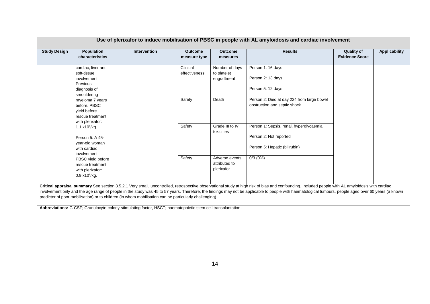| Use of plerixafor to induce mobilisation of PBSC in people with AL amyloidosis and cardiac involvement                                                                       |                                                                                              |                                                                                                              |                                |                                                                                                    |                                                                                                                                                                                                                                                                                                                                                                                                            |                                            |                      |
|------------------------------------------------------------------------------------------------------------------------------------------------------------------------------|----------------------------------------------------------------------------------------------|--------------------------------------------------------------------------------------------------------------|--------------------------------|----------------------------------------------------------------------------------------------------|------------------------------------------------------------------------------------------------------------------------------------------------------------------------------------------------------------------------------------------------------------------------------------------------------------------------------------------------------------------------------------------------------------|--------------------------------------------|----------------------|
| <b>Study Design</b>                                                                                                                                                          | <b>Population</b><br>characteristics                                                         | <b>Intervention</b>                                                                                          | <b>Outcome</b><br>measure type | <b>Outcome</b><br>measures                                                                         | <b>Results</b>                                                                                                                                                                                                                                                                                                                                                                                             | <b>Quality of</b><br><b>Evidence Score</b> | <b>Applicability</b> |
|                                                                                                                                                                              | cardiac, liver and<br>soft-tissue<br>involvement.<br>Previous<br>diagnosis of<br>smouldering |                                                                                                              | Clinical<br>effectiveness      | Number of days<br>to platelet<br>engraftment                                                       | Person 1: 16 days<br>Person 2: 13 days<br>Person 5: 12 days                                                                                                                                                                                                                                                                                                                                                |                                            |                      |
|                                                                                                                                                                              | myeloma 7 years<br>before. PBSC<br>yield before<br>rescue treatment<br>with plerixafor:      |                                                                                                              | Safety                         | Death                                                                                              | Person 2: Died at day 224 from large bowel<br>obstruction and septic shock.                                                                                                                                                                                                                                                                                                                                |                                            |                      |
| $1.1 \times 10^6$ /kg.<br>Person 5: A 45-<br>year-old woman<br>with cardiac<br>involvement.<br>PBSC yield before<br>rescue treatment<br>with plerixafor:<br>$0.9 x10^6$ /kg. |                                                                                              | Safety                                                                                                       | Grade III to IV<br>toxicities  | Person 1: Sepsis, renal, hyperglycaemia<br>Person 2: Not reported<br>Person 5: Hepatic (bilirubin) |                                                                                                                                                                                                                                                                                                                                                                                                            |                                            |                      |
|                                                                                                                                                                              | Safety                                                                                       | Adverse events<br>attributed to<br>plerixafor                                                                | 0/3(0%)                        |                                                                                                    |                                                                                                                                                                                                                                                                                                                                                                                                            |                                            |                      |
|                                                                                                                                                                              |                                                                                              | predictor of poor mobilisation) or to children (in whom mobilisation can be particularly challenging).       |                                |                                                                                                    | Critical appraisal summary See section 3.5.2.1 Very small, uncontrolled, retrospective observational study at high risk of bias and confounding. Included people with AL amyloidosis with cardiac<br>involvement only and the age range of people in the study was 45 to 57 years. Therefore, the findings may not be applicable to people with haematological tumours, people aged over 60 years (a known |                                            |                      |
|                                                                                                                                                                              |                                                                                              | Abbreviations: G-CSF; Granulocyte-colony-stimulating factor, HSCT; haematopoietic stem cell transplantation. |                                |                                                                                                    |                                                                                                                                                                                                                                                                                                                                                                                                            |                                            |                      |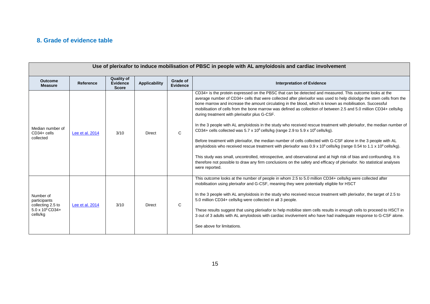## **8. Grade of evidence table**

<span id="page-14-0"></span>

| Use of plerixafor to induce mobilisation of PBSC in people with AL amyloidosis and cardiac involvement |                  |                                                      |               |                             |                                                                                                                                                                                                                                                                                                                                                                                                                                                                                                                                                                                                                                                                                                                                                                                                                                                                                                                                                                                                                                                                                                                                                                                                                                                                                            |  |
|--------------------------------------------------------------------------------------------------------|------------------|------------------------------------------------------|---------------|-----------------------------|--------------------------------------------------------------------------------------------------------------------------------------------------------------------------------------------------------------------------------------------------------------------------------------------------------------------------------------------------------------------------------------------------------------------------------------------------------------------------------------------------------------------------------------------------------------------------------------------------------------------------------------------------------------------------------------------------------------------------------------------------------------------------------------------------------------------------------------------------------------------------------------------------------------------------------------------------------------------------------------------------------------------------------------------------------------------------------------------------------------------------------------------------------------------------------------------------------------------------------------------------------------------------------------------|--|
| <b>Outcome</b><br><b>Measure</b>                                                                       | <b>Reference</b> | <b>Quality of</b><br><b>Evidence</b><br><b>Score</b> | Applicability | Grade of<br><b>Evidence</b> | <b>Interpretation of Evidence</b>                                                                                                                                                                                                                                                                                                                                                                                                                                                                                                                                                                                                                                                                                                                                                                                                                                                                                                                                                                                                                                                                                                                                                                                                                                                          |  |
| Median number of<br>$CD34+$ cells<br>collected                                                         | Lee et al. 2014  | 3/10                                                 | <b>Direct</b> | $\mathbf{C}$                | CD34+ is the protein expressed on the PBSC that can be detected and measured. This outcome looks at the<br>average number of CD34+ cells that were collected after plerixafor was used to help dislodge the stem cells from the<br>bone marrow and increase the amount circulating in the blood, which is known as mobilisation. Successful<br>mobilisation of cells from the bone marrow was defined as collection of between 2.5 and 5.0 million CD34+ cells/kg<br>during treatment with plerixafor plus G-CSF.<br>In the 3 people with AL amyloidosis in the study who received rescue treatment with plerixafor, the median number of<br>CD34+ cells collected was 5.7 x 10 <sup>6</sup> cells/kg (range 2.9 to 5.9 x 10 <sup>6</sup> cells/kg).<br>Before treatment with plerixafor, the median number of cells collected with G-CSF alone in the 3 people with AL<br>amyloidosis who received rescue treatment with plerixafor was 0.9 x 10 <sup>6</sup> cells/kg (range 0.54 to 1.1 x 10 <sup>6</sup> cells/kg).<br>This study was small, uncontrolled, retrospective, and observational and at high risk of bias and confounding. It is<br>therefore not possible to draw any firm conclusions on the safety and efficacy of plerixafor. No statistical analyses<br>were reported. |  |
| Number of<br>participants<br>collecting 2.5 to<br>$5.0 \times 10^6$ CD34+<br>cells/kg                  | Lee et al. 2014  | 3/10                                                 | <b>Direct</b> | $\mathsf{C}$                | This outcome looks at the number of people in whom 2.5 to 5.0 million CD34+ cells/kg were collected after<br>mobilisation using plerixafor and G-CSF, meaning they were potentially eligible for HSCT<br>In the 3 people with AL amyloidosis in the study who received rescue treatment with plerixafor, the target of 2.5 to<br>5.0 million CD34+ cells/kg were collected in all 3 people.<br>These results suggest that using plerixafor to help mobilise stem cells results in enough cells to proceed to HSCT in<br>3 out of 3 adults with AL amyloidosis with cardiac involvement who have had inadequate response to G-CSF alone.<br>See above for limitations.                                                                                                                                                                                                                                                                                                                                                                                                                                                                                                                                                                                                                      |  |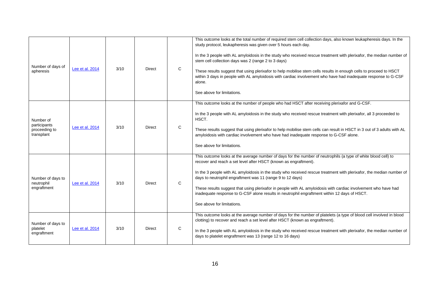| Number of days of<br>apheresis                           | Lee et al. 2014 | 3/10 | Direct        | $\mathbf C$  | This outcome looks at the total number of required stem cell collection days, also known leukapheresis days. In the<br>study protocol, leukapheresis was given over 5 hours each day.<br>In the 3 people with AL amyloidosis in the study who received rescue treatment with plerixafor, the median number of<br>stem cell collection days was 2 (range 2 to 3 days)<br>These results suggest that using plerixafor to help mobilise stem cells results in enough cells to proceed to HSCT<br>within 3 days in people with AL amyloidosis with cardiac involvement who have had inadequate response to G-CSF<br>alone.<br>See above for limitations. |
|----------------------------------------------------------|-----------------|------|---------------|--------------|------------------------------------------------------------------------------------------------------------------------------------------------------------------------------------------------------------------------------------------------------------------------------------------------------------------------------------------------------------------------------------------------------------------------------------------------------------------------------------------------------------------------------------------------------------------------------------------------------------------------------------------------------|
| Number of<br>participants<br>proceeding to<br>transplant | Lee et al. 2014 | 3/10 | <b>Direct</b> | C            | This outcome looks at the number of people who had HSCT after receiving plerixafor and G-CSF.<br>In the 3 people with AL amyloidosis in the study who received rescue treatment with plerixafor, all 3 proceeded to<br>HSCT.<br>These results suggest that using plerixafor to help mobilise stem cells can result in HSCT in 3 out of 3 adults with AL<br>amyloidosis with cardiac involvement who have had inadequate response to G-CSF alone.<br>See above for limitations.                                                                                                                                                                       |
| Number of days to<br>neutrophil<br>engraftment           | Lee et al. 2014 | 3/10 | <b>Direct</b> | $\mathsf{C}$ | This outcome looks at the average number of days for the number of neutrophils (a type of white blood cell) to<br>recover and reach a set level after HSCT (known as engraftment).<br>In the 3 people with AL amyloidosis in the study who received rescue treatment with plerixafor, the median number of<br>days to neutrophil engraftment was 11 (range 9 to 12 days)<br>These results suggest that using plerixafor in people with AL amyloidosis with cardiac involvement who have had<br>inadequate response to G-CSF alone results in neutrophil engraftment within 12 days of HSCT.<br>See above for limitations.                            |
| Number of days to<br>platelet<br>engraftment             | Lee et al. 2014 | 3/10 | Direct        | C            | This outcome looks at the average number of days for the number of platelets (a type of blood cell involved in blood<br>clotting) to recover and reach a set level after HSCT (known as engraftment).<br>In the 3 people with AL amyloidosis in the study who received rescue treatment with plerixafor, the median number of<br>days to platelet engraftment was 13 (range 12 to 16 days)                                                                                                                                                                                                                                                           |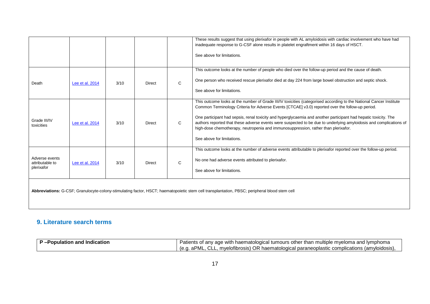|                                                                                                                                               |                 |      |               |              | These results suggest that using plerixafor in people with AL amyloidosis with cardiac involvement who have had<br>inadequate response to G-CSF alone results in platelet engraftment within 16 days of HSCT.<br>See above for limitations.                                                                                                                                                                                                                                                                                                                                          |
|-----------------------------------------------------------------------------------------------------------------------------------------------|-----------------|------|---------------|--------------|--------------------------------------------------------------------------------------------------------------------------------------------------------------------------------------------------------------------------------------------------------------------------------------------------------------------------------------------------------------------------------------------------------------------------------------------------------------------------------------------------------------------------------------------------------------------------------------|
| Death                                                                                                                                         | Lee et al. 2014 | 3/10 | Direct        | $\mathsf{C}$ | This outcome looks at the number of people who died over the follow-up period and the cause of death.<br>One person who received rescue plerixafor died at day 224 from large bowel obstruction and septic shock.<br>See above for limitations.                                                                                                                                                                                                                                                                                                                                      |
| Grade III/IV<br>toxicities                                                                                                                    | Lee et al. 2014 | 3/10 | <b>Direct</b> | C            | This outcome looks at the number of Grade III/IV toxicities (categorised according to the National Cancer Institute<br>Common Terminology Criteria for Adverse Events [CTCAE] v3.0) reported over the follow-up period.<br>One participant had sepsis, renal toxicity and hyperglycaemia and another participant had hepatic toxicity. The<br>authors reported that these adverse events were suspected to be due to underlying amyloidosis and complications of<br>high-dose chemotherapy, neutropenia and immunosuppression, rather than plerixafor.<br>See above for limitations. |
| Adverse events<br>attributable to<br>plerixafor                                                                                               | Lee et al. 2014 | 3/10 | <b>Direct</b> | $\mathbf{C}$ | This outcome looks at the number of adverse events attributable to plerixafor reported over the follow-up period.<br>No one had adverse events attributed to plerixafor.<br>See above for limitations.                                                                                                                                                                                                                                                                                                                                                                               |
| Abbreviations: G-CSF; Granulocyte-colony-stimulating factor, HSCT; haematopoietic stem cell transplantation, PBSC; peripheral blood stem cell |                 |      |               |              |                                                                                                                                                                                                                                                                                                                                                                                                                                                                                                                                                                                      |

## **9. Literature search terms**

<span id="page-16-0"></span>

| <b>P</b> -Population and Indication | Patients of any age with haematological tumours other than multiple myeloma and lymphoma     |
|-------------------------------------|----------------------------------------------------------------------------------------------|
|                                     | e.g. aPML, CLL, myelofibrosis) OR haematological paraneoplastic complications (amyloidosis), |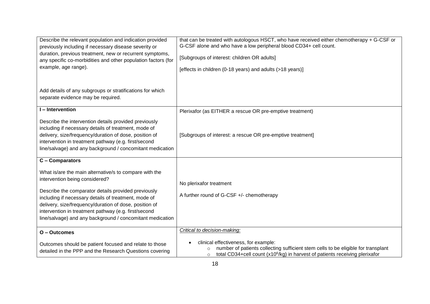| Describe the relevant population and indication provided<br>previously including if necessary disease severity or<br>duration, previous treatment, new or recurrent symptoms,<br>any specific co-morbidities and other population factors (for<br>example, age range).                                                                                                                 | that can be treated with autologous HSCT, who have received either chemotherapy + G-CSF or<br>G-CSF alone and who have a low peripheral blood CD34+ cell count.<br>[Subgroups of interest: children OR adults]<br>[effects in children (0-18 years) and adults (>18 years)] |
|----------------------------------------------------------------------------------------------------------------------------------------------------------------------------------------------------------------------------------------------------------------------------------------------------------------------------------------------------------------------------------------|-----------------------------------------------------------------------------------------------------------------------------------------------------------------------------------------------------------------------------------------------------------------------------|
| Add details of any subgroups or stratifications for which<br>separate evidence may be required.                                                                                                                                                                                                                                                                                        |                                                                                                                                                                                                                                                                             |
| I-Intervention                                                                                                                                                                                                                                                                                                                                                                         | Plerixafor (as EITHER a rescue OR pre-emptive treatment)                                                                                                                                                                                                                    |
| Describe the intervention details provided previously<br>including if necessary details of treatment, mode of<br>delivery, size/frequency/duration of dose, position of<br>intervention in treatment pathway (e.g. first/second<br>line/salvage) and any background / concomitant medication                                                                                           | [Subgroups of interest: a rescue OR pre-emptive treatment]                                                                                                                                                                                                                  |
| C - Comparators                                                                                                                                                                                                                                                                                                                                                                        |                                                                                                                                                                                                                                                                             |
| What is/are the main alternative/s to compare with the<br>intervention being considered?<br>Describe the comparator details provided previously<br>including if necessary details of treatment, mode of<br>delivery, size/frequency/duration of dose, position of<br>intervention in treatment pathway (e.g. first/second<br>line/salvage) and any background / concomitant medication | No plerixafor treatment<br>A further round of G-CSF +/- chemotherapy                                                                                                                                                                                                        |
| O - Outcomes                                                                                                                                                                                                                                                                                                                                                                           | Critical to decision-making:                                                                                                                                                                                                                                                |
| Outcomes should be patient focused and relate to those<br>detailed in the PPP and the Research Questions covering                                                                                                                                                                                                                                                                      | clinical effectiveness, for example:<br>number of patients collecting sufficient stem cells to be eligible for transplant<br>$\circ$<br>total CD34+cell count (x10 <sup>6</sup> /kg) in harvest of patients receiving plerixafor<br>$\circ$                                 |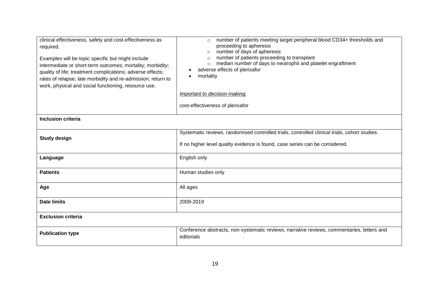| clinical effectiveness, safety and cost-effectiveness as<br>required.<br>Examples will be topic specific but might include<br>intermediate or short-term outcomes; mortality; morbidity;<br>quality of life; treatment complications; adverse effects;<br>rates of relapse; late morbidity and re-admission; return to<br>work, physical and social functioning, resource use. | number of patients meeting target peripheral blood CD34+ thresholds and<br>$\circ$<br>proceeding to apheresis<br>number of days of apheresis<br>$\circ$<br>number of patients proceeding to transplant<br>$\circ$<br>median number of days to neutrophil and platelet engraftment<br>$\circ$<br>adverse effects of plerixafor<br>mortality<br>Important to decision-making:<br>cost-effectiveness of plerixafor |
|--------------------------------------------------------------------------------------------------------------------------------------------------------------------------------------------------------------------------------------------------------------------------------------------------------------------------------------------------------------------------------|-----------------------------------------------------------------------------------------------------------------------------------------------------------------------------------------------------------------------------------------------------------------------------------------------------------------------------------------------------------------------------------------------------------------|
| <b>Inclusion criteria</b>                                                                                                                                                                                                                                                                                                                                                      |                                                                                                                                                                                                                                                                                                                                                                                                                 |
| <b>Study design</b>                                                                                                                                                                                                                                                                                                                                                            | Systematic reviews, randomised controlled trials, controlled clinical trials, cohort studies.<br>If no higher level quality evidence is found, case series can be considered.                                                                                                                                                                                                                                   |
| Language                                                                                                                                                                                                                                                                                                                                                                       | English only                                                                                                                                                                                                                                                                                                                                                                                                    |
| <b>Patients</b>                                                                                                                                                                                                                                                                                                                                                                | Human studies only                                                                                                                                                                                                                                                                                                                                                                                              |
| Age                                                                                                                                                                                                                                                                                                                                                                            | All ages                                                                                                                                                                                                                                                                                                                                                                                                        |
| <b>Date limits</b>                                                                                                                                                                                                                                                                                                                                                             | 2009-2019                                                                                                                                                                                                                                                                                                                                                                                                       |
| <b>Exclusion criteria</b>                                                                                                                                                                                                                                                                                                                                                      |                                                                                                                                                                                                                                                                                                                                                                                                                 |
| <b>Publication type</b>                                                                                                                                                                                                                                                                                                                                                        | Conference abstracts, non-systematic reviews, narrative reviews, commentaries, letters and<br>editorials                                                                                                                                                                                                                                                                                                        |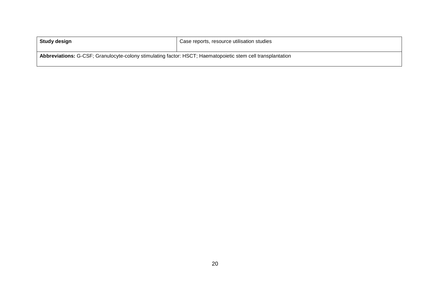| Study design                                                                                                | Case reports, resource utilisation studies |
|-------------------------------------------------------------------------------------------------------------|--------------------------------------------|
| Abbreviations: G-CSF; Granulocyte-colony stimulating factor: HSCT; Haematopoietic stem cell transplantation |                                            |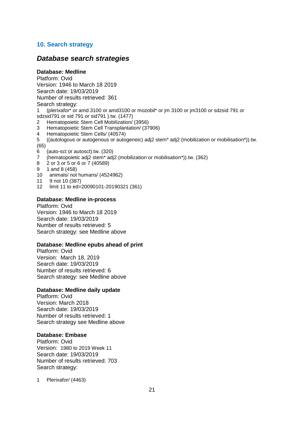## <span id="page-20-0"></span>**10. Search strategy**

## *Database search strategies*

### **Database: Medline**

Platform: Ovid Version: 1946 to March 18 2019 Search date: 19/03/2019 Number of results retrieved: 361

## Search strategy:

1 (plerixafor\* or amd 3100 or amd3100 or mozobil\* or jm 3100 or jm3100 or sdzsid 791 or sdzsid791 or sid 791 or sid791 ).tw. (1477)

- 2 Hematopoietic Stem Cell Mobilization/ (3956)
- 3 Hematopoietic Stem Cell Transplantation/ (37906)
- 4 Hematopoietic Stem Cells/ (40574)
- 5 ((autologous or autogenous or autogeneic) adj2 stem\* adj2 (mobilization or mobilisation\*)).tw.
- (65)
- 6 (auto-sct or autosct).tw. (320)
- 7 (hematopoietic adj2 stem\* adj2 (mobilization or mobilisation\*)).tw. (362)
- 8 2 or 3 or 5 or 6 or 7 (40589)
- $9 1$  and 8 (458)
- 10 animals/ not humans/ (4524962)
- 11 9 not 10 (387)
- 12 limit 11 to ed=20090101-20190321 (361)

#### **Database: Medline in-process**

Platform: Ovid Version: 1946 to March 18 2019 Search date: 19/03/2019 Number of results retrieved: 5 Search strategy: see Medline above

#### **Database: Medline epubs ahead of print**

Platform: Ovid Version: March 18, 2019 Search date: 19/03/2019 Number of results retrieved: 6 Search strategy: see Medline above

#### **Database: Medline daily update**

Platform: Ovid Version: March 2018 Search date: 19/03/2019 Number of results retrieved: 1 Search strategy see Medline above

### **Database: Embase**

Platform: Ovid Version: 1980 to 2019 Week 11 Search date: 19/03/2019 Number of results retrieved: 703 Search strategy:

1 Plerixafor/ (4463)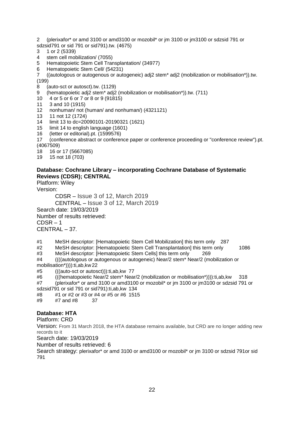- 2 (plerixafor\* or amd 3100 or amd3100 or mozobil\* or jm 3100 or jm3100 or sdzsid 791 or
- sdzsid791 or sid 791 or sid791).tw. (4675)
- 3 1 or 2 (5339)
- 4 stem cell mobilization/ (7055)
- 5 Hematopoietic Stem Cell Transplantation/ (34977)
- 6 Hematopoietic Stem Cell/ (54231)
- 7 ((autologous or autogenous or autogeneic) adj2 stem\* adj2 (mobilization or mobilisation\*)).tw.  $(199)$
- 8 (auto-sct or autosct).tw. (1129)
- 9 (hematopoietic adj2 stem\* adj2 (mobilization or mobilisation\*)).tw. (711)
- 10 4 or 5 or 6 or 7 or 8 or 9 (91815)
- 11 3 and 10 (1915)
- 12 nonhuman/ not (human/ and nonhuman/) (4321121)
- 13 11 not 12 (1724)
- 14 limit 13 to dc=20090101-20190321 (1621)
- 15 limit 14 to english language (1601)
- 16 (letter or editorial).pt. (1599576)
- 17 (conference abstract or conference paper or conference proceeding or "conference review").pt. (4067509)
- 18 16 or 17 (5667085)
- 19 15 not 18 (703)

## **Database: Cochrane Library – incorporating Cochrane Database of Systematic Reviews (CDSR); CENTRAL**

Platform: Wiley Version:

CDSR – Issue 3 of 12, March 2019 CENTRAL – Issue 3 of 12, March 2019 Search date: 19/03/2019 Number of results retrieved:  $CDSR - 1$ CENTRAL – 37.

#1 MeSH descriptor: [Hematopoietic Stem Cell Mobilization] this term only 287

- #2 MeSH descriptor: [Hematopoietic Stem Cell Transplantation] this term only 1086
- #3 MeSH descriptor: [Hematopoietic Stem Cells] this term only 269

#4 ((((autologous or autogenous or autogeneic) Near/2 stem\* Near/2 (mobilization or mobilisation\*)))):ti,ab,kw 22

#5 (((auto-sct or autosct))):ti,ab,kw 77

#6 (((hematopoietic Near/2 stem\* Near/2 (mobilization or mobilisation\*)))):ti,ab,kw 318 #7 (plerixafor\* or amd 3100 or amd3100 or mozobil\* or jm 3100 or jm3100 or sdzsid 791 or sdzsid791 or sid 791 or sid791):ti,ab,kw 134

- #8 #1 or #2 or #3 or #4 or #5 or #6 1515
- #9 #7 and #8 37

## **Database: HTA**

Platform: CRD

Version: From 31 March 2018, the HTA database remains available, but CRD are no longer adding new records to it

Search date: 19/03/2019

Number of results retrieved: 6

Search strategy: plerixafor\* or amd 3100 or amd3100 or mozobil\* or jm 3100 or sdzsid 791or sid 791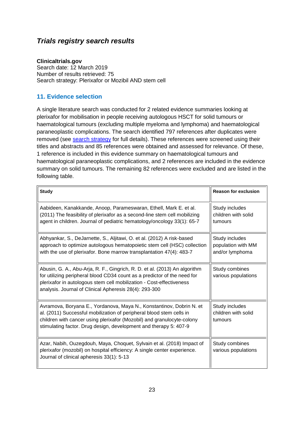## *Trials registry search results*

## **Clinicaltrials.gov**

Search date: 12 March 2019 Number of results retrieved: 75 Search strategy: Plerixafor or Mozibil AND stem cell

## <span id="page-22-0"></span>**11. Evidence selection**

A single literature search was conducted for 2 related evidence summaries looking at plerixafor for mobilisation in people receiving autologous HSCT for solid tumours or haematological tumours (excluding multiple myeloma and lymphoma) and haematological paraneoplastic complications. The search identified 797 references after duplicates were removed (see [search strategy](#page-20-0) for full details). These references were screened using their titles and abstracts and 85 references were obtained and assessed for relevance. Of these, 1 reference is included in this evidence summary on haematological tumours and haematological paraneoplastic complications, and 2 references are included in the evidence summary on solid tumours. The remaining 82 references were excluded and are listed in the following table.

| <b>Study</b>                                                                                                                                                                                                                                                                                | <b>Reason for exclusion</b>                             |
|---------------------------------------------------------------------------------------------------------------------------------------------------------------------------------------------------------------------------------------------------------------------------------------------|---------------------------------------------------------|
| Aabideen, Kanakkande, Anoop, Parameswaran, Ethell, Mark E. et al.<br>(2011) The feasibility of plerixafor as a second-line stem cell mobilizing<br>agent in children. Journal of pediatric hematology/oncology 33(1): 65-7                                                                  | Study includes<br>children with solid<br>tumours        |
| Abhyankar, S., DeJarnette, S., Aljitawi, O. et al. (2012) A risk-based<br>approach to optimize autologous hematopoietic stem cell (HSC) collection<br>with the use of plerixafor. Bone marrow transplantation 47(4): 483-7                                                                  | Study includes<br>population with MM<br>and/or lymphoma |
| Abusin, G. A., Abu-Arja, R. F., Gingrich, R. D. et al. (2013) An algorithm<br>for utilizing peripheral blood CD34 count as a predictor of the need for<br>plerixafor in autologous stem cell mobilization - Cost-effectiveness<br>analysis. Journal of Clinical Apheresis 28(4): 293-300    | Study combines<br>various populations                   |
| Avramova, Boryana E., Yordanova, Maya N., Konstantinov, Dobrin N. et<br>al. (2011) Successful mobilization of peripheral blood stem cells in<br>children with cancer using plerixafor (Mozobil) and granulocyte-colony<br>stimulating factor. Drug design, development and therapy 5: 407-9 | Study includes<br>children with solid<br>tumours        |
| Azar, Nabih, Ouzegdouh, Maya, Choquet, Sylvain et al. (2018) Impact of<br>plerixafor (mozobil) on hospital efficiency: A single center experience.<br>Journal of clinical apheresis 33(1): 5-13                                                                                             | Study combines<br>various populations                   |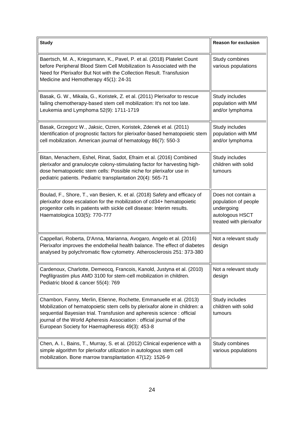| <b>Study</b>                                                                                                                                                                                                                                                                                                                                             | <b>Reason for exclusion</b>                                                                            |
|----------------------------------------------------------------------------------------------------------------------------------------------------------------------------------------------------------------------------------------------------------------------------------------------------------------------------------------------------------|--------------------------------------------------------------------------------------------------------|
| Baertsch, M. A., Kriegsmann, K., Pavel, P. et al. (2018) Platelet Count<br>before Peripheral Blood Stem Cell Mobilization Is Associated with the<br>Need for Plerixafor But Not with the Collection Result. Transfusion<br>Medicine and Hemotherapy 45(1): 24-31                                                                                         | Study combines<br>various populations                                                                  |
| Basak, G. W., Mikala, G., Koristek, Z. et al. (2011) Plerixafor to rescue<br>failing chemotherapy-based stem cell mobilization: It's not too late.<br>Leukemia and Lymphoma 52(9): 1711-1719                                                                                                                                                             | Study includes<br>population with MM<br>and/or lymphoma                                                |
| Basak, Grzegorz W., Jaksic, Ozren, Koristek, Zdenek et al. (2011)<br>Identification of prognostic factors for plerixafor-based hematopoietic stem<br>cell mobilization. American journal of hematology 86(7): 550-3                                                                                                                                      | Study includes<br>population with MM<br>and/or lymphoma                                                |
| Bitan, Menachem, Eshel, Rinat, Sadot, Efraim et al. (2016) Combined<br>plerixafor and granulocyte colony-stimulating factor for harvesting high-<br>dose hematopoietic stem cells: Possible niche for plerixafor use in<br>pediatric patients. Pediatric transplantation 20(4): 565-71                                                                   | Study includes<br>children with solid<br>tumours                                                       |
| Boulad, F., Shore, T., van Besien, K. et al. (2018) Safety and efficacy of<br>plerixafor dose escalation for the mobilization of cd34+ hematopoietic<br>progenitor cells in patients with sickle cell disease: Interim results.<br>Haematologica 103(5): 770-777                                                                                         | Does not contain a<br>population of people<br>undergoing<br>autologous HSCT<br>treated with plerixafor |
| Cappellari, Roberta, D'Anna, Marianna, Avogaro, Angelo et al. (2016)<br>Plerixafor improves the endothelial health balance. The effect of diabetes<br>analysed by polychromatic flow cytometry. Atherosclerosis 251: 373-380                                                                                                                             | Not a relevant study<br>design                                                                         |
| Cardenoux, Charlotte, Demeocq, Francois, Kanold, Justyna et al. (2010)<br>Pegfilgrastim plus AMD 3100 for stem-cell mobilization in children.<br>Pediatric blood & cancer 55(4): 769                                                                                                                                                                     | Not a relevant study<br>design                                                                         |
| Chambon, Fanny, Merlin, Etienne, Rochette, Emmanuelle et al. (2013)<br>Mobilization of hematopoietic stem cells by plerixafor alone in children: a<br>sequential Bayesian trial. Transfusion and apheresis science : official<br>journal of the World Apheresis Association : official journal of the<br>European Society for Haemapheresis 49(3): 453-8 | Study includes<br>children with solid<br>tumours                                                       |
| Chen, A. I., Bains, T., Murray, S. et al. (2012) Clinical experience with a<br>simple algorithm for plerixafor utilization in autologous stem cell<br>mobilization. Bone marrow transplantation 47(12): 1526-9                                                                                                                                           | Study combines<br>various populations                                                                  |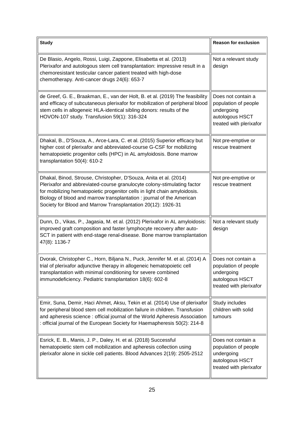| <b>Study</b>                                                                                                                                                                                                                                                                                                                                                       | <b>Reason for exclusion</b>                                                                            |
|--------------------------------------------------------------------------------------------------------------------------------------------------------------------------------------------------------------------------------------------------------------------------------------------------------------------------------------------------------------------|--------------------------------------------------------------------------------------------------------|
| De Blasio, Angelo, Rossi, Luigi, Zappone, Elisabetta et al. (2013)<br>Plerixafor and autologous stem cell transplantation: impressive result in a<br>chemoresistant testicular cancer patient treated with high-dose<br>chemotherapy. Anti-cancer drugs 24(6): 653-7                                                                                               | Not a relevant study<br>design                                                                         |
| de Greef, G. E., Braakman, E., van der Holt, B. et al. (2019) The feasibility<br>and efficacy of subcutaneous plerixafor for mobilization of peripheral blood<br>stem cells in allogeneic HLA-identical sibling donors: results of the<br>HOVON-107 study. Transfusion 59(1): 316-324                                                                              | Does not contain a<br>population of people<br>undergoing<br>autologous HSCT<br>treated with plerixafor |
| Dhakal, B., D'Souza, A., Arce-Lara, C. et al. (2015) Superior efficacy but<br>higher cost of plerixafor and abbreviated-course G-CSF for mobilizing<br>hematopoietic progenitor cells (HPC) in AL amyloidosis. Bone marrow<br>transplantation 50(4): 610-2                                                                                                         | Not pre-emptive or<br>rescue treatment                                                                 |
| Dhakal, Binod, Strouse, Christopher, D'Souza, Anita et al. (2014)<br>Plerixafor and abbreviated-course granulocyte colony-stimulating factor<br>for mobilizing hematopoietic progenitor cells in light chain amyloidosis.<br>Biology of blood and marrow transplantation : journal of the American<br>Society for Blood and Marrow Transplantation 20(12): 1926-31 | Not pre-emptive or<br>rescue treatment                                                                 |
| Dunn, D., Vikas, P., Jagasia, M. et al. (2012) Plerixafor in AL amyloidosis:<br>improved graft composition and faster lymphocyte recovery after auto-<br>SCT in patient with end-stage renal-disease. Bone marrow transplantation<br>47(8): 1136-7                                                                                                                 | Not a relevant study<br>design                                                                         |
| Dvorak, Christopher C., Horn, Biljana N., Puck, Jennifer M. et al. (2014) A<br>trial of plerixafor adjunctive therapy in allogeneic hematopoietic cell<br>transplantation with minimal conditioning for severe combined<br>immunodeficiency. Pediatric transplantation 18(6): 602-8                                                                                | Does not contain a<br>population of people<br>undergoing<br>autologous HSCT<br>treated with plerixafor |
| Emir, Suna, Demir, Haci Ahmet, Aksu, Tekin et al. (2014) Use of plerixafor<br>for peripheral blood stem cell mobilization failure in children. Transfusion<br>and apheresis science : official journal of the World Apheresis Association<br>: official journal of the European Society for Haemapheresis 50(2): 214-8                                             | Study includes<br>children with solid<br>tumours                                                       |
| Esrick, E. B., Manis, J. P., Daley, H. et al. (2018) Successful<br>hematopoietic stem cell mobilization and apheresis collection using<br>plerixafor alone in sickle cell patients. Blood Advances 2(19): 2505-2512                                                                                                                                                | Does not contain a<br>population of people<br>undergoing<br>autologous HSCT<br>treated with plerixafor |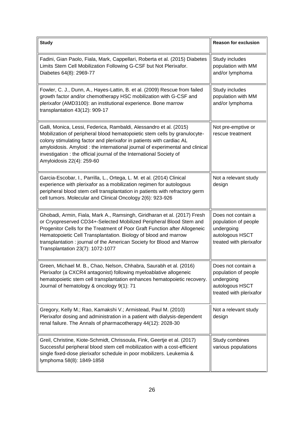| <b>Study</b>                                                                                                                                                                                                                                                                                                                                                                                                   | <b>Reason for exclusion</b>                                                                            |
|----------------------------------------------------------------------------------------------------------------------------------------------------------------------------------------------------------------------------------------------------------------------------------------------------------------------------------------------------------------------------------------------------------------|--------------------------------------------------------------------------------------------------------|
| Fadini, Gian Paolo, Fiala, Mark, Cappellari, Roberta et al. (2015) Diabetes<br>Limits Stem Cell Mobilization Following G-CSF but Not Plerixafor.<br>Diabetes 64(8): 2969-77                                                                                                                                                                                                                                    | Study includes<br>population with MM<br>and/or lymphoma                                                |
| Fowler, C. J., Dunn, A., Hayes-Lattin, B. et al. (2009) Rescue from failed<br>growth factor and/or chemotherapy HSC mobilization with G-CSF and<br>plerixafor (AMD3100): an institutional experience. Bone marrow<br>transplantation 43(12): 909-17                                                                                                                                                            | Study includes<br>population with MM<br>and/or lymphoma                                                |
| Galli, Monica, Lessi, Federica, Rambaldi, Alessandro et al. (2015)<br>Mobilization of peripheral blood hematopoietic stem cells by granulocyte-<br>colony stimulating factor and plerixafor in patients with cardiac AL<br>amyloidosis. Amyloid: the international journal of experimental and clinical<br>investigation : the official journal of the International Society of<br>Amyloidosis 22(4): 259-60   | Not pre-emptive or<br>rescue treatment                                                                 |
| Garcia-Escobar, I., Parrilla, L., Ortega, L. M. et al. (2014) Clinical<br>experience with plerixafor as a mobilization regimen for autologous<br>peripheral blood stem cell transplantation in patients with refractory germ<br>cell tumors. Molecular and Clinical Oncology 2(6): 923-926                                                                                                                     | Not a relevant study<br>design                                                                         |
| Ghobadi, Armin, Fiala, Mark A., Ramsingh, Giridharan et al. (2017) Fresh<br>or Cryopreserved CD34+-Selected Mobilized Peripheral Blood Stem and<br>Progenitor Cells for the Treatment of Poor Graft Function after Allogeneic<br>Hematopoietic Cell Transplantation. Biology of blood and marrow<br>transplantation : journal of the American Society for Blood and Marrow<br>Transplantation 23(7): 1072-1077 | Does not contain a<br>population of people<br>undergoing<br>autologous HSCT<br>treated with plerixafor |
| Green, Michael M. B., Chao, Nelson, Chhabra, Saurabh et al. (2016)<br>Plerixafor (a CXCR4 antagonist) following myeloablative allogeneic<br>hematopoietic stem cell transplantation enhances hematopoietic recovery.<br>Journal of hematology & oncology 9(1): 71                                                                                                                                              | Does not contain a<br>population of people<br>undergoing<br>autologous HSCT<br>treated with plerixafor |
| Gregory, Kelly M.; Rao, Kamakshi V.; Armistead, Paul M. (2010)<br>Plerixafor dosing and administration in a patient with dialysis-dependent<br>renal failure. The Annals of pharmacotherapy 44(12): 2028-30                                                                                                                                                                                                    | Not a relevant study<br>design                                                                         |
| Greil, Christine, Kiote-Schmidt, Chrissoula, Fink, Geertje et al. (2017)<br>Successful peripheral blood stem cell mobilization with a cost-efficient<br>single fixed-dose plerixafor schedule in poor mobilizers. Leukemia &<br>lymphoma 58(8): 1849-1858                                                                                                                                                      | Study combines<br>various populations                                                                  |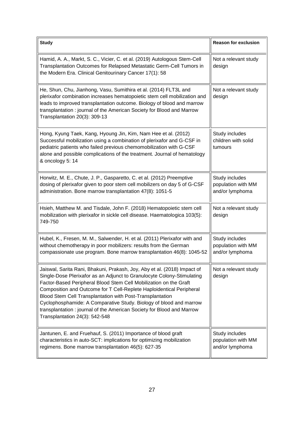| <b>Study</b>                                                                                                                                                                                                                                                                                                                                                                                                                                                                                                                                  | <b>Reason for exclusion</b>                             |
|-----------------------------------------------------------------------------------------------------------------------------------------------------------------------------------------------------------------------------------------------------------------------------------------------------------------------------------------------------------------------------------------------------------------------------------------------------------------------------------------------------------------------------------------------|---------------------------------------------------------|
| Hamid, A. A., Markt, S. C., Vicier, C. et al. (2019) Autologous Stem-Cell<br>Transplantation Outcomes for Relapsed Metastatic Germ-Cell Tumors in<br>the Modern Era. Clinical Genitourinary Cancer 17(1): 58                                                                                                                                                                                                                                                                                                                                  | Not a relevant study<br>design                          |
| He, Shun, Chu, Jianhong, Vasu, Sumithira et al. (2014) FLT3L and<br>plerixafor combination increases hematopoietic stem cell mobilization and<br>leads to improved transplantation outcome. Biology of blood and marrow<br>transplantation: journal of the American Society for Blood and Marrow<br>Transplantation 20(3): 309-13                                                                                                                                                                                                             | Not a relevant study<br>design                          |
| Hong, Kyung Taek, Kang, Hyoung Jin, Kim, Nam Hee et al. (2012)<br>Successful mobilization using a combination of plerixafor and G-CSF in<br>pediatric patients who failed previous chemomobilization with G-CSF<br>alone and possible complications of the treatment. Journal of hematology<br>& oncology 5: 14                                                                                                                                                                                                                               | Study includes<br>children with solid<br>tumours        |
| Horwitz, M. E., Chute, J. P., Gasparetto, C. et al. (2012) Preemptive<br>dosing of plerixafor given to poor stem cell mobilizers on day 5 of G-CSF<br>administration. Bone marrow transplantation 47(8): 1051-5                                                                                                                                                                                                                                                                                                                               | Study includes<br>population with MM<br>and/or lymphoma |
| Hsieh, Matthew M. and Tisdale, John F. (2018) Hematopoietic stem cell<br>mobilization with plerixafor in sickle cell disease. Haematologica 103(5):<br>749-750                                                                                                                                                                                                                                                                                                                                                                                | Not a relevant study<br>design                          |
| Hubel, K., Fresen, M. M., Salwender, H. et al. (2011) Plerixafor with and<br>without chemotherapy in poor mobilizers: results from the German<br>compassionate use program. Bone marrow transplantation 46(8): 1045-52                                                                                                                                                                                                                                                                                                                        | Study includes<br>population with MM<br>and/or lymphoma |
| Jaiswal, Sarita Rani, Bhakuni, Prakash, Joy, Aby et al. (2018) Impact of<br>Single-Dose Plerixafor as an Adjunct to Granulocyte Colony-Stimulating<br>Factor-Based Peripheral Blood Stem Cell Mobilization on the Graft<br>Composition and Outcome for T Cell-Replete Haploidentical Peripheral<br>Blood Stem Cell Transplantation with Post-Transplantation<br>Cyclophosphamide: A Comparative Study. Biology of blood and marrow<br>transplantation: journal of the American Society for Blood and Marrow<br>Transplantation 24(3): 542-548 | Not a relevant study<br>design                          |
| Jantunen, E. and Fruehauf, S. (2011) Importance of blood graft<br>characteristics in auto-SCT: implications for optimizing mobilization<br>regimens. Bone marrow transplantation 46(5): 627-35                                                                                                                                                                                                                                                                                                                                                | Study includes<br>population with MM<br>and/or lymphoma |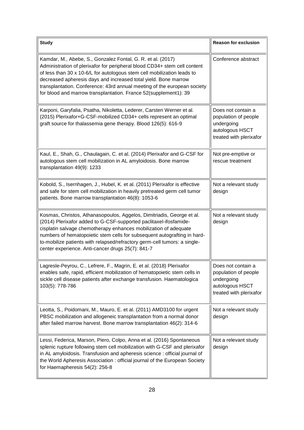| <b>Study</b>                                                                                                                                                                                                                                                                                                                                                                                                                           | <b>Reason for exclusion</b>                                                                            |
|----------------------------------------------------------------------------------------------------------------------------------------------------------------------------------------------------------------------------------------------------------------------------------------------------------------------------------------------------------------------------------------------------------------------------------------|--------------------------------------------------------------------------------------------------------|
| Kamdar, M., Abebe, S., Gonzalez Fontal, G. R. et al. (2017)<br>Administration of plerixafor for peripheral blood CD34+ stem cell content<br>of less than 30 x 10-6/L for autologous stem cell mobilization leads to<br>decreased apheresis days and increased total yield. Bone marrow<br>transplantation. Conference: 43rd annual meeting of the european society<br>for blood and marrow transplantation. France 52(supplement1): 39 | Conference abstract                                                                                    |
| Karponi, Garyfalia, Psatha, Nikoletta, Lederer, Carsten Werner et al.<br>(2015) Plerixafor+G-CSF-mobilized CD34+ cells represent an optimal<br>graft source for thalassemia gene therapy. Blood 126(5): 616-9                                                                                                                                                                                                                          | Does not contain a<br>population of people<br>undergoing<br>autologous HSCT<br>treated with plerixafor |
| Kaul, E., Shah, G., Chaulagain, C. et al. (2014) Plerixafor and G-CSF for<br>autologous stem cell mobilization in AL amyloidosis. Bone marrow<br>transplantation 49(9): 1233                                                                                                                                                                                                                                                           | Not pre-emptive or<br>rescue treatment                                                                 |
| Kobold, S., Isernhagen, J., Hubel, K. et al. (2011) Plerixafor is effective<br>and safe for stem cell mobilization in heavily pretreated germ cell tumor<br>patients. Bone marrow transplantation 46(8): 1053-6                                                                                                                                                                                                                        | Not a relevant study<br>design                                                                         |
| Kosmas, Christos, Athanasopoulos, Aggelos, Dimitriadis, George et al.<br>(2014) Plerixafor added to G-CSF-supported paclitaxel-ifosfamide-<br>cisplatin salvage chemotherapy enhances mobilization of adequate<br>numbers of hematopoietic stem cells for subsequent autografting in hard-<br>to-mobilize patients with relapsed/refractory germ-cell tumors: a single-<br>center experience. Anti-cancer drugs 25(7): 841-7           | Not a relevant study<br>design                                                                         |
| Lagresle-Peyrou, C., Lefrere, F., Magrin, E. et al. (2018) Plerixafor<br>enables safe, rapid, efficient mobilization of hematopoietic stem cells in<br>sickle cell disease patients after exchange transfusion. Haematologica<br>103(5): 778-786                                                                                                                                                                                       | Does not contain a<br>population of people<br>undergoing<br>autologous HSCT<br>treated with plerixafor |
| Leotta, S., Poidomani, M., Mauro, E. et al. (2011) AMD3100 for urgent<br>PBSC mobilization and allogeneic transplantation from a normal donor<br>after failed marrow harvest. Bone marrow transplantation 46(2): 314-6                                                                                                                                                                                                                 | Not a relevant study<br>design                                                                         |
| Lessi, Federica, Marson, Piero, Colpo, Anna et al. (2016) Spontaneous<br>splenic rupture following stem cell mobilization with G-CSF and plerixafor<br>in AL amyloidosis. Transfusion and apheresis science : official journal of<br>the World Apheresis Association : official journal of the European Society<br>for Haemapheresis 54(2): 256-8                                                                                      | Not a relevant study<br>design                                                                         |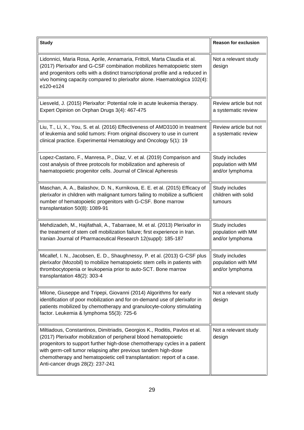| <b>Study</b>                                                                                                                                                                                                                                                                                                                                                                                                | <b>Reason for exclusion</b>                             |
|-------------------------------------------------------------------------------------------------------------------------------------------------------------------------------------------------------------------------------------------------------------------------------------------------------------------------------------------------------------------------------------------------------------|---------------------------------------------------------|
| Lidonnici, Maria Rosa, Aprile, Annamaria, Frittoli, Marta Claudia et al.<br>(2017) Plerixafor and G-CSF combination mobilizes hematopoietic stem<br>and progenitors cells with a distinct transcriptional profile and a reduced in<br>vivo homing capacity compared to plerixafor alone. Haematologica 102(4):<br>e120-e124                                                                                 | Not a relevant study<br>design                          |
| Liesveld, J. (2015) Plerixafor: Potential role in acute leukemia therapy.<br>Expert Opinion on Orphan Drugs 3(4): 467-475                                                                                                                                                                                                                                                                                   | Review article but not<br>a systematic review           |
| Liu, T., Li, X., You, S. et al. (2016) Effectiveness of AMD3100 in treatment<br>of leukemia and solid tumors: From original discovery to use in current<br>clinical practice. Experimental Hematology and Oncology 5(1): 19                                                                                                                                                                                 | Review article but not<br>a systematic review           |
| Lopez-Castano, F., Manresa, P., Diaz, V. et al. (2019) Comparison and<br>cost analysis of three protocols for mobilization and apheresis of<br>haematopoietic progenitor cells. Journal of Clinical Apheresis                                                                                                                                                                                               | Study includes<br>population with MM<br>and/or lymphoma |
| Maschan, A. A., Balashov, D. N., Kurnikova, E. E. et al. (2015) Efficacy of<br>plerixafor in children with malignant tumors failing to mobilize a sufficient<br>number of hematopoietic progenitors with G-CSF. Bone marrow<br>transplantation 50(8): 1089-91                                                                                                                                               | Study includes<br>children with solid<br>tumours        |
| Mehdizadeh, M., Hajifathali, A., Tabarraee, M. et al. (2013) Plerixafor in<br>the treatment of stem cell mobilization failure; first experience in Iran.<br>Iranian Journal of Pharmaceutical Research 12(suppl): 185-187                                                                                                                                                                                   | Study includes<br>population with MM<br>and/or lymphoma |
| Micallef, I. N., Jacobsen, E. D., Shaughnessy, P. et al. (2013) G-CSF plus<br>plerixafor (Mozobil) to mobilize hematopoietic stem cells in patients with<br>thrombocytopenia or leukopenia prior to auto-SCT. Bone marrow<br>transplantation 48(2): 303-4                                                                                                                                                   | Study includes<br>population with MM<br>and/or lymphoma |
| Milone, Giuseppe and Tripepi, Giovanni (2014) Algorithms for early<br>identification of poor mobilization and for on-demand use of plerixafor in<br>patients mobilized by chemotherapy and granulocyte-colony stimulating<br>factor. Leukemia & lymphoma 55(3): 725-6                                                                                                                                       | Not a relevant study<br>design                          |
| Miltiadous, Constantinos, Dimitriadis, Georgios K., Roditis, Pavlos et al.<br>(2017) Plerixafor mobilization of peripheral blood hematopoietic<br>progenitors to support further high-dose chemotherapy cycles in a patient<br>with germ-cell tumor relapsing after previous tandem high-dose<br>chemotherapy and hematopoietic cell transplantation: report of a case.<br>Anti-cancer drugs 28(2): 237-241 | Not a relevant study<br>design                          |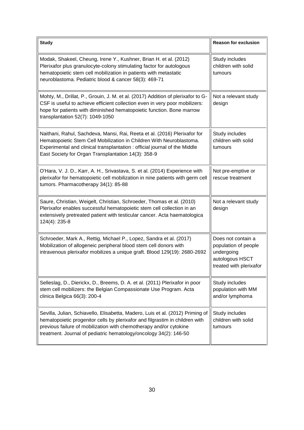| <b>Study</b>                                                                                                                                                                                                                                                                                              | <b>Reason for exclusion</b>                                                                            |
|-----------------------------------------------------------------------------------------------------------------------------------------------------------------------------------------------------------------------------------------------------------------------------------------------------------|--------------------------------------------------------------------------------------------------------|
| Modak, Shakeel, Cheung, Irene Y., Kushner, Brian H. et al. (2012)<br>Plerixafor plus granulocyte-colony stimulating factor for autologous<br>hematopoietic stem cell mobilization in patients with metastatic<br>neuroblastoma. Pediatric blood & cancer 58(3): 469-71                                    | Study includes<br>children with solid<br>tumours                                                       |
| Mohty, M., Drillat, P., Grouin, J. M. et al. (2017) Addition of plerixafor to G-<br>CSF is useful to achieve efficient collection even in very poor mobilizers:<br>hope for patients with diminished hematopoietic function. Bone marrow<br>transplantation 52(7): 1049-1050                              | Not a relevant study<br>design                                                                         |
| Naithani, Rahul, Sachdeva, Mansi, Rai, Reeta et al. (2016) Plerixafor for<br>Hematopoietic Stem Cell Mobilization in Children With Neuroblastoma.<br>Experimental and clinical transplantation: official journal of the Middle<br>East Society for Organ Transplantation 14(3): 358-9                     | Study includes<br>children with solid<br>tumours                                                       |
| O'Hara, V. J. D., Karr, A. H., Srivastava, S. et al. (2014) Experience with<br>plerixafor for hematopoietic cell mobilization in nine patients with germ cell<br>tumors. Pharmacotherapy 34(1): 85-88                                                                                                     | Not pre-emptive or<br>rescue treatment                                                                 |
| Saure, Christian, Weigelt, Christian, Schroeder, Thomas et al. (2010)<br>Plerixafor enables successful hematopoietic stem cell collection in an<br>extensively pretreated patient with testicular cancer. Acta haematologica<br>124(4): 235-8                                                             | Not a relevant study<br>design                                                                         |
| Schroeder, Mark A., Rettig, Michael P., Lopez, Sandra et al. (2017)<br>Mobilization of allogeneic peripheral blood stem cell donors with<br>intravenous plerixafor mobilizes a unique graft. Blood 129(19): 2680-2692                                                                                     | Does not contain a<br>population of people<br>undergoing<br>autologous HSCT<br>treated with plerixafor |
| Selleslag, D., Dierickx, D., Breems, D. A. et al. (2011) Plerixafor in poor<br>stem cell mobilizers: the Belgian Compassionate Use Program. Acta<br>clinica Belgica 66(3): 200-4                                                                                                                          | Study includes<br>population with MM<br>and/or lymphoma                                                |
| Sevilla, Julian, Schiavello, Elisabetta, Madero, Luis et al. (2012) Priming of<br>hematopoietic progenitor cells by plerixafor and filgrastim in children with<br>previous failure of mobilization with chemotherapy and/or cytokine<br>treatment. Journal of pediatric hematology/oncology 34(2): 146-50 | Study includes<br>children with solid<br>tumours                                                       |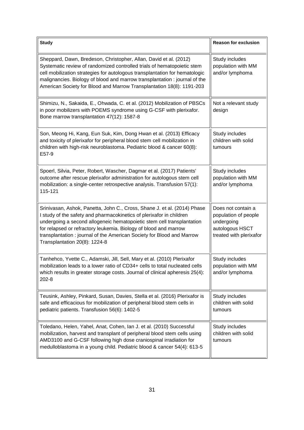| <b>Study</b>                                                                                                                                                                                                                                                                                                                                                                                             | <b>Reason for exclusion</b>                                                                            |
|----------------------------------------------------------------------------------------------------------------------------------------------------------------------------------------------------------------------------------------------------------------------------------------------------------------------------------------------------------------------------------------------------------|--------------------------------------------------------------------------------------------------------|
| Sheppard, Dawn, Bredeson, Christopher, Allan, David et al. (2012)<br>Systematic review of randomized controlled trials of hematopoietic stem<br>cell mobilization strategies for autologous transplantation for hematologic<br>malignancies. Biology of blood and marrow transplantation : journal of the<br>American Society for Blood and Marrow Transplantation 18(8): 1191-203                       | Study includes<br>population with MM<br>and/or lymphoma                                                |
| Shimizu, N., Sakaida, E., Ohwada, C. et al. (2012) Mobilization of PBSCs<br>in poor mobilizers with POEMS syndrome using G-CSF with plerixafor.<br>Bone marrow transplantation 47(12): 1587-8                                                                                                                                                                                                            | Not a relevant study<br>design                                                                         |
| Son, Meong Hi, Kang, Eun Suk, Kim, Dong Hwan et al. (2013) Efficacy<br>and toxicity of plerixafor for peripheral blood stem cell mobilization in<br>children with high-risk neuroblastoma. Pediatric blood & cancer 60(8):<br>E57-9                                                                                                                                                                      | Study includes<br>children with solid<br>tumours                                                       |
| Spoerl, Silvia, Peter, Robert, Wascher, Dagmar et al. (2017) Patients'<br>outcome after rescue plerixafor administration for autologous stem cell<br>mobilization: a single-center retrospective analysis. Transfusion 57(1):<br>115-121                                                                                                                                                                 | Study includes<br>population with MM<br>and/or lymphoma                                                |
| Srinivasan, Ashok, Panetta, John C., Cross, Shane J. et al. (2014) Phase<br>I study of the safety and pharmacokinetics of plerixafor in children<br>undergoing a second allogeneic hematopoietic stem cell transplantation<br>for relapsed or refractory leukemia. Biology of blood and marrow<br>transplantation: journal of the American Society for Blood and Marrow<br>Transplantation 20(8): 1224-8 | Does not contain a<br>population of people<br>undergoing<br>autologous HSCT<br>treated with plerixafor |
| Tanhehco, Yvette C., Adamski, Jill, Sell, Mary et al. (2010) Plerixafor<br>mobilization leads to a lower ratio of CD34+ cells to total nucleated cells<br>which results in greater storage costs. Journal of clinical apheresis 25(4):<br>202-8                                                                                                                                                          | Study includes<br>population with MM<br>and/or lymphoma                                                |
| Teusink, Ashley, Pinkard, Susan, Davies, Stella et al. (2016) Plerixafor is<br>safe and efficacious for mobilization of peripheral blood stem cells in<br>pediatric patients. Transfusion 56(6): 1402-5                                                                                                                                                                                                  | Study includes<br>children with solid<br>tumours                                                       |
| Toledano, Helen, Yahel, Anat, Cohen, Ian J. et al. (2010) Successful<br>mobilization, harvest and transplant of peripheral blood stem cells using<br>AMD3100 and G-CSF following high dose craniospinal irradiation for<br>medulloblastoma in a young child. Pediatric blood & cancer 54(4): 613-5                                                                                                       | Study includes<br>children with solid<br>tumours                                                       |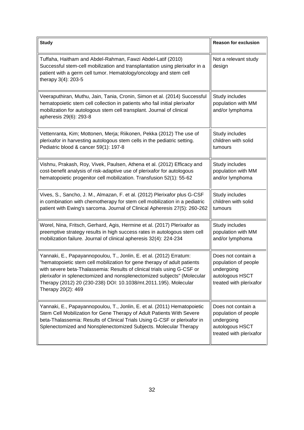| <b>Study</b>                                                                                                                                                                                                                                                                                                                                                                                    | <b>Reason for exclusion</b>                                                                            |
|-------------------------------------------------------------------------------------------------------------------------------------------------------------------------------------------------------------------------------------------------------------------------------------------------------------------------------------------------------------------------------------------------|--------------------------------------------------------------------------------------------------------|
| Tuffaha, Haitham and Abdel-Rahman, Fawzi Abdel-Latif (2010)<br>Successful stem-cell mobilization and transplantation using plerixafor in a<br>patient with a germ cell tumor. Hematology/oncology and stem cell<br>therapy 3(4): 203-5                                                                                                                                                          | Not a relevant study<br>design                                                                         |
| Veeraputhiran, Muthu, Jain, Tania, Cronin, Simon et al. (2014) Successful<br>hematopoietic stem cell collection in patients who fail initial plerixafor<br>mobilization for autologous stem cell transplant. Journal of clinical<br>apheresis 29(6): 293-8                                                                                                                                      | Study includes<br>population with MM<br>and/or lymphoma                                                |
| Vettenranta, Kim; Mottonen, Merja; Riikonen, Pekka (2012) The use of<br>plerixafor in harvesting autologous stem cells in the pediatric setting.<br>Pediatric blood & cancer 59(1): 197-8                                                                                                                                                                                                       | Study includes<br>children with solid<br>tumours                                                       |
| Vishnu, Prakash, Roy, Vivek, Paulsen, Athena et al. (2012) Efficacy and<br>cost-benefit analysis of risk-adaptive use of plerixafor for autologous<br>hematopoietic progenitor cell mobilization. Transfusion 52(1): 55-62                                                                                                                                                                      | Study includes<br>population with MM<br>and/or lymphoma                                                |
| Vives, S., Sancho, J. M., Almazan, F. et al. (2012) Plerixafor plus G-CSF<br>in combination with chemotherapy for stem cell mobilization in a pediatric<br>patient with Ewing's sarcoma. Journal of Clinical Apheresis 27(5): 260-262                                                                                                                                                           | Study includes<br>children with solid<br>tumours                                                       |
| Worel, Nina, Fritsch, Gerhard, Agis, Hermine et al. (2017) Plerixafor as<br>preemptive strategy results in high success rates in autologous stem cell<br>mobilization failure. Journal of clinical apheresis 32(4): 224-234                                                                                                                                                                     | Study includes<br>population with MM<br>and/or lymphoma                                                |
| Yannaki, E., Papayannopoulou, T., Jonlin, E. et al. (2012) Erratum:<br>"hematopoietic stem cell mobilization for gene therapy of adult patients<br>with severe beta-Thalassemia: Results of clinical trials using G-CSF or<br>plerixafor in splenectomized and nonsplenectomized subjects" (Molecular<br>Therapy (2012) 20 (230-238) DOI: 10.1038/mt.2011.195). Molecular<br>Therapy 20(2): 469 | Does not contain a<br>population of people<br>undergoing<br>autologous HSCT<br>treated with plerixafor |
| Yannaki, E., Papayannopoulou, T., Jonlin, E. et al. (2011) Hematopoietic<br>Stem Cell Mobilization for Gene Therapy of Adult Patients With Severe<br>beta-Thalassemia: Results of Clinical Trials Using G-CSF or plerixafor in<br>Splenectomized and Nonsplenectomized Subjects. Molecular Therapy                                                                                              | Does not contain a<br>population of people<br>undergoing<br>autologous HSCT<br>treated with plerixafor |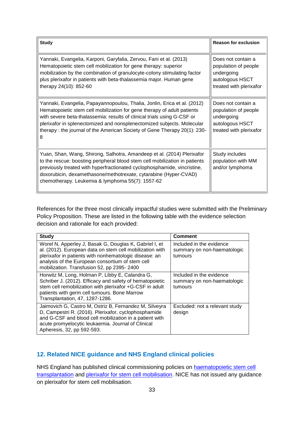| <b>Study</b>                                                                                                                                                                                                                                                                                                                                                                              | <b>Reason for exclusion</b>                                                                            |
|-------------------------------------------------------------------------------------------------------------------------------------------------------------------------------------------------------------------------------------------------------------------------------------------------------------------------------------------------------------------------------------------|--------------------------------------------------------------------------------------------------------|
| Yannaki, Evangelia, Karponi, Garyfalia, Zervou, Fani et al. (2013)<br>Hematopoietic stem cell mobilization for gene therapy: superior<br>mobilization by the combination of granulocyte-colony stimulating factor<br>plus plerixafor in patients with beta-thalassemia major. Human gene<br>therapy 24(10): 852-60                                                                        | Does not contain a<br>population of people<br>undergoing<br>autologous HSCT<br>treated with plerixafor |
| Yannaki, Evangelia, Papayannopoulou, Thalia, Jonlin, Erica et al. (2012)<br>Hematopoietic stem cell mobilization for gene therapy of adult patients<br>with severe beta-thalassemia: results of clinical trials using G-CSF or<br>plerixafor in splenectomized and nonsplenectomized subjects. Molecular<br>therapy: the journal of the American Society of Gene Therapy 20(1): 230-<br>8 | Does not contain a<br>population of people<br>undergoing<br>autologous HSCT<br>treated with plerixafor |
| Yuan, Shan, Wang, Shirong, Salhotra, Amandeep et al. (2014) Plerixafor<br>to the rescue: boosting peripheral blood stem cell mobilization in patients<br>previously treated with hyperfractionated cyclophosphamide, vincristine,<br>doxorubicin, dexamethasone/methotrexate, cytarabine (Hyper-CVAD)<br>chemotherapy. Leukemia & lymphoma 55(7): 1557-62                                 | Study includes<br>population with MM<br>and/or lymphoma                                                |

References for the three most clinically impactful studies were submitted with the Preliminary Policy Proposition. These are listed in the following table with the evidence selection decision and rationale for each provided:

| <b>Study</b>                                                                                                                                                                                                                                                                   | <b>Comment</b>                                                     |
|--------------------------------------------------------------------------------------------------------------------------------------------------------------------------------------------------------------------------------------------------------------------------------|--------------------------------------------------------------------|
| Worel N, Apperley J, Basak G, Douglas K, Gabriel I, et<br>al. (2012). European data on stem cell mobilization with<br>plerixafor in patients with nonhematologic disease: an<br>analysis of the European consortium of stem cell<br>mobilization. Transfusion 52, pp 2395-2400 | Included in the evidence<br>summary on non-haematologic<br>tumours |
| Horwitz M, Long, Holman P, Libby E, Calandra G,<br>Schriber J. (2012). Efficacy and safety of hematopoietic<br>stem cell remobilization with plerixafor +G-CSF in adult<br>patients with germ cell tumours. Bone Marrow<br>Transplantation, 47, 1287-1286.                     | Included in the evidence<br>summary on non-haematologic<br>tumours |
| Jaimovich G, Castro M, Ostriz B, Fernandez M, Silveyra<br>D, Campestri R. (2016). Plerixafor, cyclophosphamide<br>and G-CSF and blood cell mobilization in a patient with<br>acute promyelocytic leukaemia. Journal of Clinical<br>Apheresis, 32, pp 592-593.                  | Excluded: not a relevant study<br>design                           |

## <span id="page-32-0"></span>**12. Related NICE guidance and NHS England clinical policies**

NHS England has published clinical commissioning policies on **haematopoietic stem cell** [transplantation](https://www.england.nhs.uk/wp-content/uploads/2018/07/Haematopoietic-stem-cell-transplantation-All-Ages.pdf) and [plerixafor for stem cell mobilisation.](https://www.england.nhs.uk/wp-content/uploads/2018/07/Plerixafor-for-paediatric-stem-cell-mobilisation.pdf) NICE has not issued any guidance on plerixafor for stem cell mobilisation.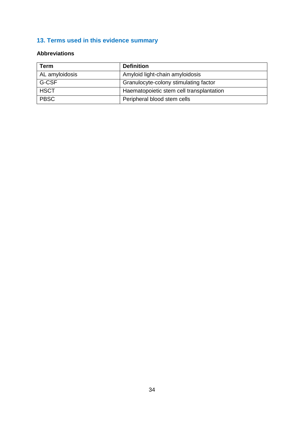## <span id="page-33-0"></span>**13. Terms used in this evidence summary**

## <span id="page-33-1"></span>**Abbreviations**

| Term           | <b>Definition</b>                        |
|----------------|------------------------------------------|
| AL amyloidosis | Amyloid light-chain amyloidosis          |
| G-CSF          | Granulocyte-colony stimulating factor    |
| <b>HSCT</b>    | Haematopoietic stem cell transplantation |
| <b>PBSC</b>    | Peripheral blood stem cells              |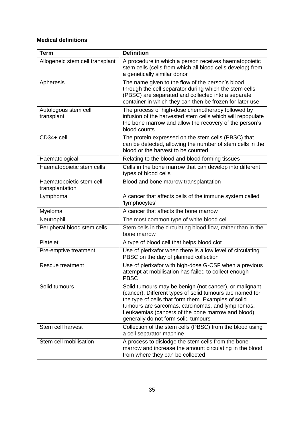## <span id="page-34-0"></span>**Medical definitions**

| <b>Term</b>                                 | <b>Definition</b>                                                                                                                                                                                                                                                                                                         |
|---------------------------------------------|---------------------------------------------------------------------------------------------------------------------------------------------------------------------------------------------------------------------------------------------------------------------------------------------------------------------------|
| Allogeneic stem cell transplant             | A procedure in which a person receives haematopoietic<br>stem cells (cells from which all blood cells develop) from<br>a genetically similar donor                                                                                                                                                                        |
| Apheresis                                   | The name given to the flow of the person's blood<br>through the cell separator during which the stem cells<br>(PBSC) are separated and collected into a separate<br>container in which they can then be frozen for later use                                                                                              |
| Autologous stem cell<br>transplant          | The process of high-dose chemotherapy followed by<br>infusion of the harvested stem cells which will repopulate<br>the bone marrow and allow the recovery of the person's<br>blood counts                                                                                                                                 |
| CD34+ cell                                  | The protein expressed on the stem cells (PBSC) that<br>can be detected, allowing the number of stem cells in the<br>blood or the harvest to be counted                                                                                                                                                                    |
| Haematological                              | Relating to the blood and blood forming tissues                                                                                                                                                                                                                                                                           |
| Haematopoietic stem cells                   | Cells in the bone marrow that can develop into different<br>types of blood cells                                                                                                                                                                                                                                          |
| Haematopoietic stem cell<br>transplantation | Blood and bone marrow transplantation                                                                                                                                                                                                                                                                                     |
| Lymphoma                                    | A cancer that affects cells of the immune system called<br>'lymphocytes'                                                                                                                                                                                                                                                  |
| Myeloma                                     | A cancer that affects the bone marrow                                                                                                                                                                                                                                                                                     |
| Neutrophil                                  | The most common type of white blood cell                                                                                                                                                                                                                                                                                  |
| Peripheral blood stem cells                 | Stem cells in the circulating blood flow, rather than in the<br>bone marrow                                                                                                                                                                                                                                               |
| Platelet                                    | A type of blood cell that helps blood clot                                                                                                                                                                                                                                                                                |
| Pre-emptive treatment                       | Use of plerixafor when there is a low level of circulating<br>PBSC on the day of planned collection                                                                                                                                                                                                                       |
| <b>Rescue treatment</b>                     | Use of plerixafor with high-dose G-CSF when a previous<br>attempt at mobilisation has failed to collect enough<br><b>PBSC</b>                                                                                                                                                                                             |
| Solid tumours                               | Solid tumours may be benign (not cancer), or malignant<br>(cancer). Different types of solid tumours are named for<br>the type of cells that form them. Examples of solid<br>tumours are sarcomas, carcinomas, and lymphomas.<br>Leukaemias (cancers of the bone marrow and blood)<br>generally do not form solid tumours |
| Stem cell harvest                           | Collection of the stem cells (PBSC) from the blood using<br>a cell separator machine                                                                                                                                                                                                                                      |
| Stem cell mobilisation                      | A process to dislodge the stem cells from the bone<br>marrow and increase the amount circulating in the blood<br>from where they can be collected                                                                                                                                                                         |